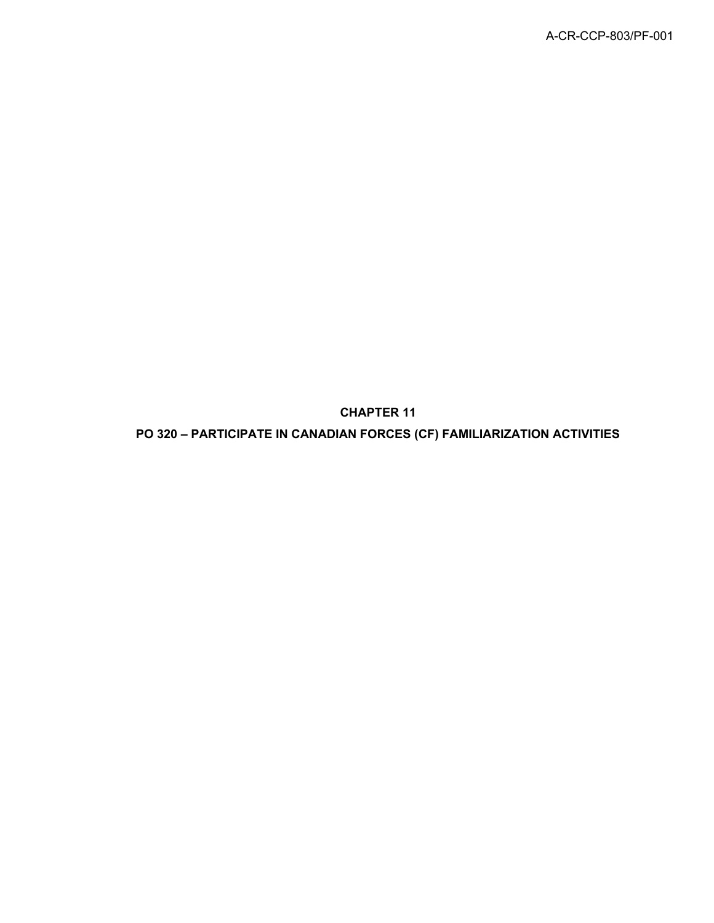CHAPTER 11

PO 320 – PARTICIPATE IN CANADIAN FORCES (CF) FAMILIARIZATION ACTIVITIES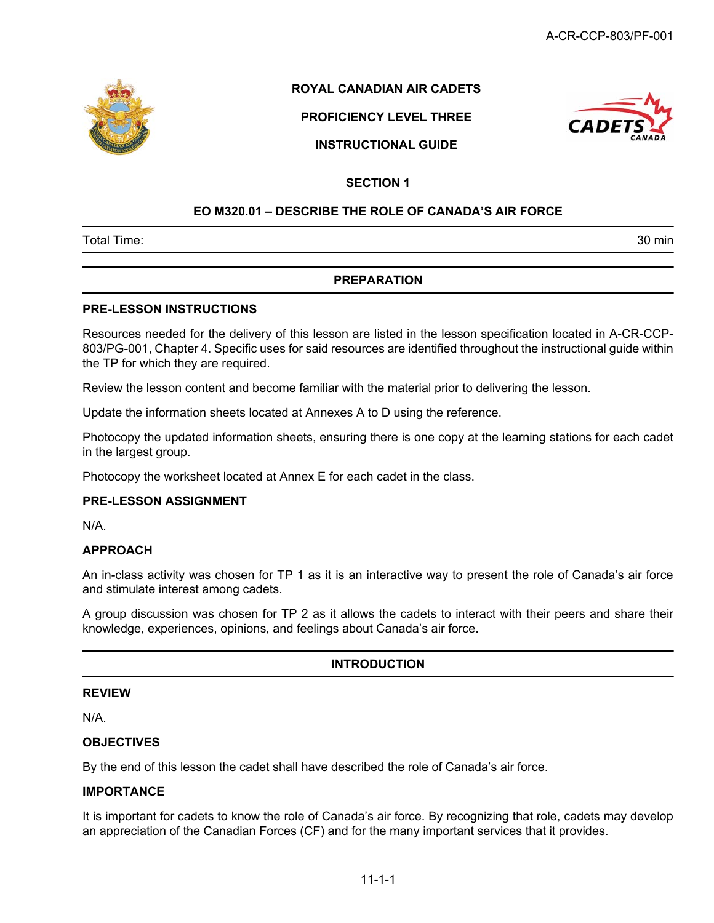

# ROYAL CANADIAN AIR CADETS

# PROFICIENCY LEVEL THREE



# INSTRUCTIONAL GUIDE

#### SECTION 1

#### EO M320.01 – DESCRIBE THE ROLE OF CANADA'S AIR FORCE

Total Time: 30 min

# PREPARATION

#### PRE-LESSON INSTRUCTIONS

Resources needed for the delivery of this lesson are listed in the lesson specification located in A-CR-CCP-803/PG-001, Chapter 4. Specific uses for said resources are identified throughout the instructional guide within the TP for which they are required.

Review the lesson content and become familiar with the material prior to delivering the lesson.

Update the information sheets located at Annexes A to D using the reference.

Photocopy the updated information sheets, ensuring there is one copy at the learning stations for each cadet in the largest group.

Photocopy the worksheet located at Annex E for each cadet in the class.

# PRE-LESSON ASSIGNMENT

N/A.

#### APPROACH

An in-class activity was chosen for TP 1 as it is an interactive way to present the role of Canada's air force and stimulate interest among cadets.

A group discussion was chosen for TP 2 as it allows the cadets to interact with their peers and share their knowledge, experiences, opinions, and feelings about Canada's air force.

# INTRODUCTION

#### REVIEW

N/A.

# **OBJECTIVES**

By the end of this lesson the cadet shall have described the role of Canada's air force.

# **IMPORTANCE**

It is important for cadets to know the role of Canada's air force. By recognizing that role, cadets may develop an appreciation of the Canadian Forces (CF) and for the many important services that it provides.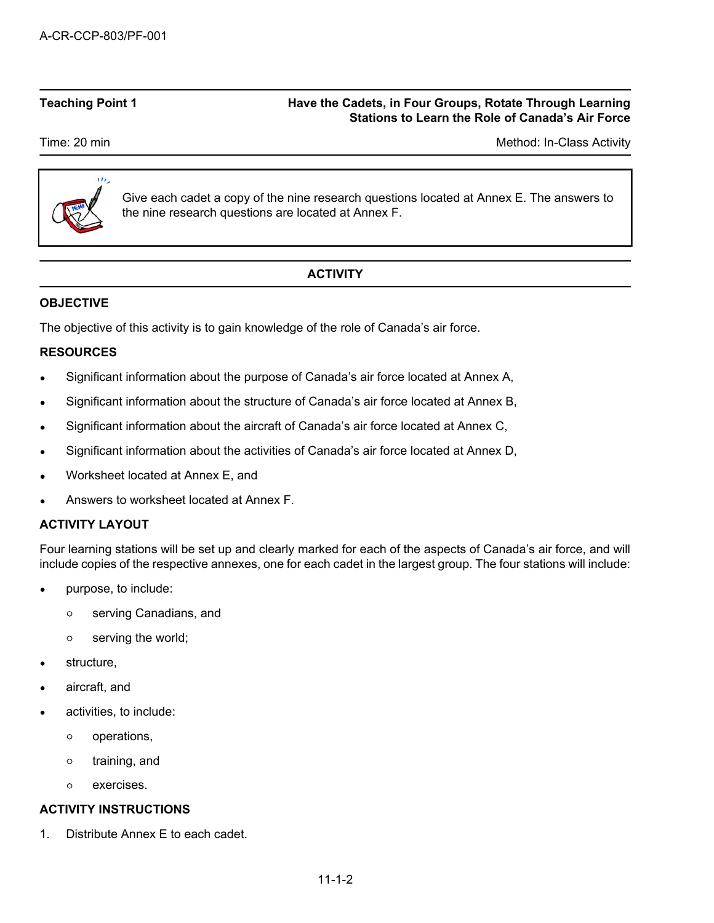# Teaching Point 1 **Have the Cadets, in Four Groups, Rotate Through Learning** Stations to Learn the Role of Canada's Air Force

Time: 20 min Method: In-Class Activity



Give each cadet a copy of the nine research questions located at Annex E. The answers to the nine research questions are located at Annex F.

# **ACTIVITY**

# **OBJECTIVE**

The objective of this activity is to gain knowledge of the role of Canada's air force.

# **RESOURCES**

- Significant information about the purpose of Canada's air force located at Annex A,
- Significant information about the structure of Canada's air force located at Annex B,
- Significant information about the aircraft of Canada's air force located at Annex C,
- Significant information about the activities of Canada's air force located at Annex D,
- Worksheet located at Annex E, and
- Answers to worksheet located at Annex F.

# ACTIVITY LAYOUT

Four learning stations will be set up and clearly marked for each of the aspects of Canada's air force, and will include copies of the respective annexes, one for each cadet in the largest group. The four stations will include:

- purpose, to include:
	- serving Canadians, and  $\circ$
	- serving the world;  $\circ$
- structure,
- aircraft, and
- activities, to include:
	- operations,  $\circ$
	- $\circ$ training, and
	- exercises.  $\circ$

# ACTIVITY INSTRUCTIONS

1. Distribute Annex E to each cadet.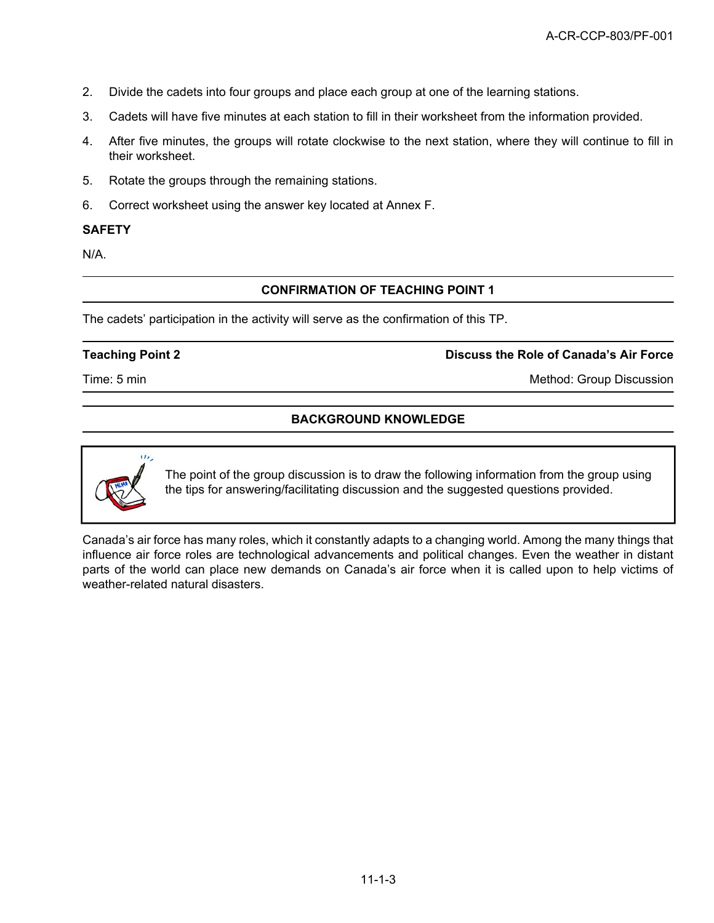- 2. Divide the cadets into four groups and place each group at one of the learning stations.
- 3. Cadets will have five minutes at each station to fill in their worksheet from the information provided.
- 4. After five minutes, the groups will rotate clockwise to the next station, where they will continue to fill in their worksheet.
- 5. Rotate the groups through the remaining stations.
- 6. Correct worksheet using the answer key located at Annex F.

#### **SAFETY**

N/A.

# CONFIRMATION OF TEACHING POINT 1

The cadets' participation in the activity will serve as the confirmation of this TP.

# Teaching Point 2 Discuss the Role of Canada's Air Force

Time: 5 min Method: Group Discussion and Method: Group Discussion

# BACKGROUND KNOWLEDGE



The point of the group discussion is to draw the following information from the group using the tips for answering/facilitating discussion and the suggested questions provided.

Canada's air force has many roles, which it constantly adapts to a changing world. Among the many things that influence air force roles are technological advancements and political changes. Even the weather in distant parts of the world can place new demands on Canada's air force when it is called upon to help victims of weather-related natural disasters.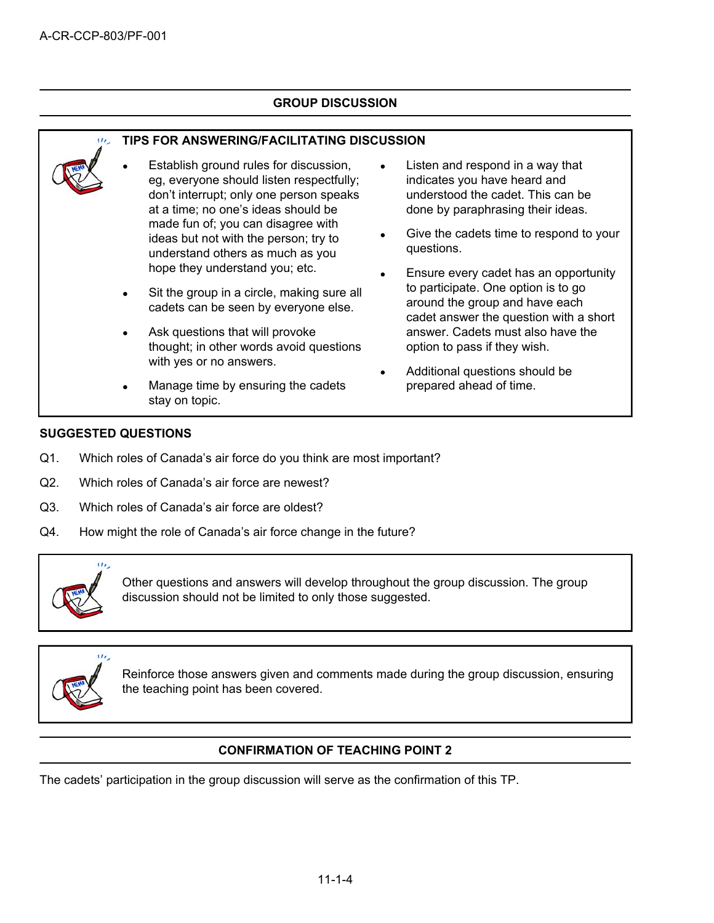# GROUP DISCUSSION

|  | TIPS FOR ANSWERING/FACILITATING DISCUSSION                                                                                                                           |                                                                                                                                            |
|--|----------------------------------------------------------------------------------------------------------------------------------------------------------------------|--------------------------------------------------------------------------------------------------------------------------------------------|
|  | Establish ground rules for discussion,<br>eg, everyone should listen respectfully;<br>don't interrupt; only one person speaks<br>at a time; no one's ideas should be | Listen and respond in a way that<br>indicates you have heard and<br>understood the cadet. This can be<br>done by paraphrasing their ideas. |
|  | made fun of; you can disagree with<br>ideas but not with the person; try to<br>understand others as much as you                                                      | Give the cadets time to respond to your<br>questions.                                                                                      |
|  | hope they understand you; etc.                                                                                                                                       | Ensure every cadet has an opportunity                                                                                                      |
|  | Sit the group in a circle, making sure all<br>cadets can be seen by everyone else.                                                                                   | to participate. One option is to go<br>around the group and have each<br>cadet answer the question with a short                            |
|  | Ask questions that will provoke<br>thought; in other words avoid questions<br>with yes or no answers.                                                                | answer. Cadets must also have the<br>option to pass if they wish.                                                                          |
|  | Manage time by ensuring the cadets<br>stay on topic.                                                                                                                 | Additional questions should be<br>prepared ahead of time.                                                                                  |

# SUGGESTED QUESTIONS

- Q1. Which roles of Canada's air force do you think are most important?
- Q2. Which roles of Canada's air force are newest?
- Q3. Which roles of Canada's air force are oldest?
- Q4. How might the role of Canada's air force change in the future?



Other questions and answers will develop throughout the group discussion. The group discussion should not be limited to only those suggested.



Reinforce those answers given and comments made during the group discussion, ensuring the teaching point has been covered.

# CONFIRMATION OF TEACHING POINT 2

The cadets' participation in the group discussion will serve as the confirmation of this TP.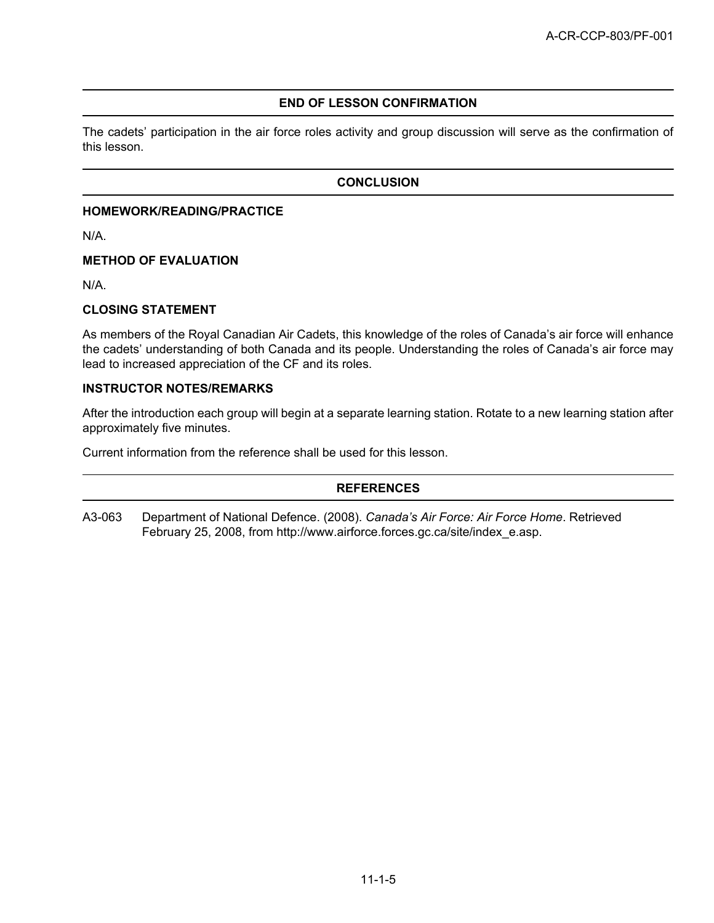### END OF LESSON CONFIRMATION

The cadets' participation in the air force roles activity and group discussion will serve as the confirmation of this lesson.

#### **CONCLUSION**

#### HOMEWORK/READING/PRACTICE

N/A.

METHOD OF EVALUATION

N/A.

#### CLOSING STATEMENT

As members of the Royal Canadian Air Cadets, this knowledge of the roles of Canada's air force will enhance the cadets' understanding of both Canada and its people. Understanding the roles of Canada's air force may lead to increased appreciation of the CF and its roles.

#### INSTRUCTOR NOTES/REMARKS

After the introduction each group will begin at a separate learning station. Rotate to a new learning station after approximately five minutes.

Current information from the reference shall be used for this lesson.

# REFERENCES

A3-063 Department of National Defence. (2008). Canada's Air Force: Air Force Home. Retrieved February 25, 2008, from http://www.airforce.forces.gc.ca/site/index\_e.asp.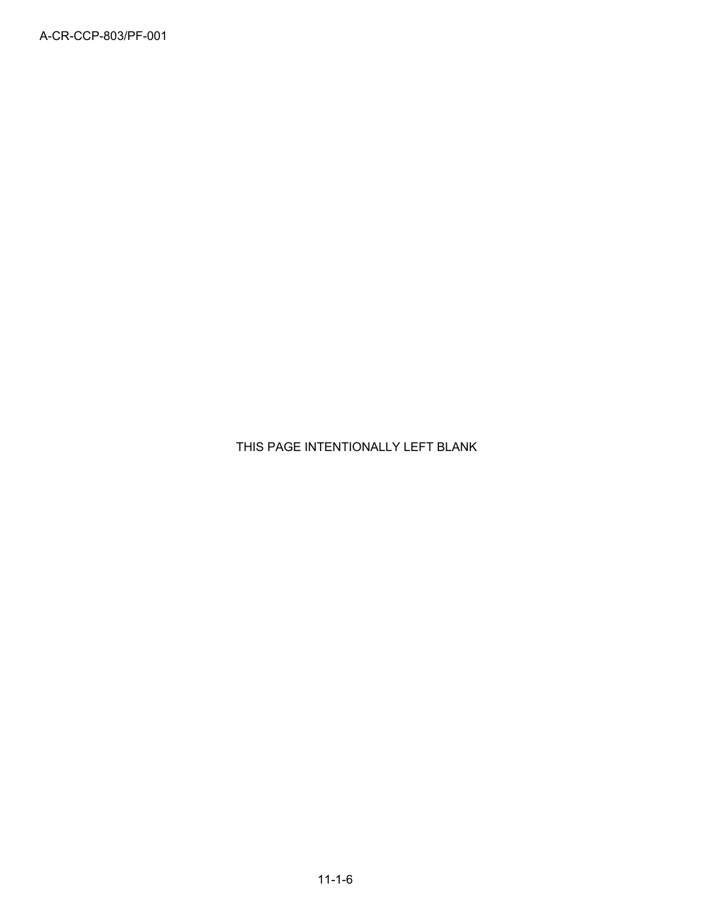THIS PAGE INTENTIONALLY LEFT BLANK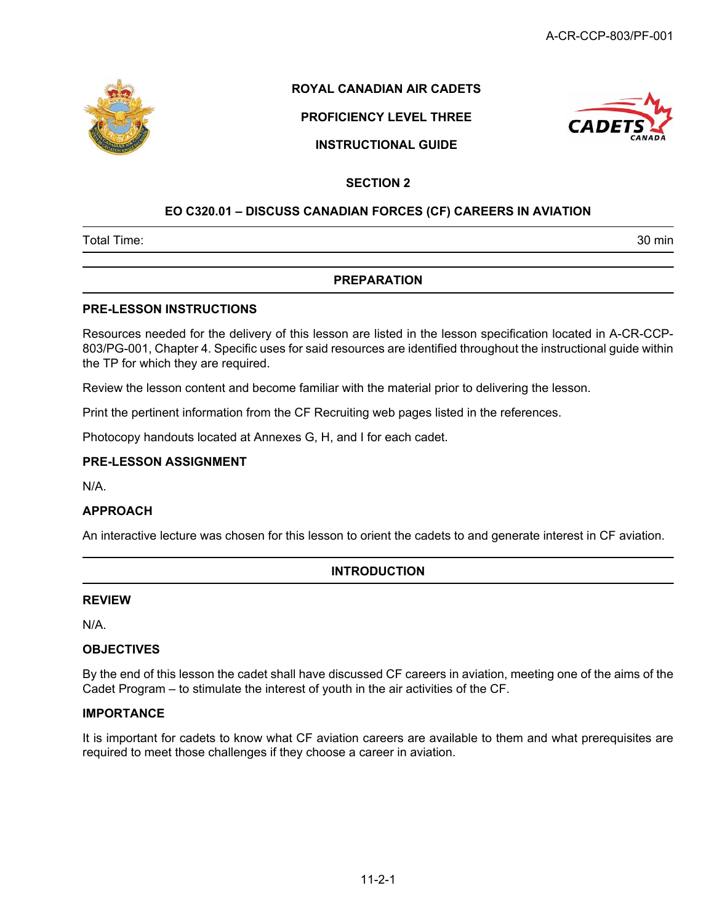

# ROYAL CANADIAN AIR CADETS

# PROFICIENCY LEVEL THREE



# INSTRUCTIONAL GUIDE

# SECTION 2

# EO C320.01 – DISCUSS CANADIAN FORCES (CF) CAREERS IN AVIATION

Total Time: 30 min

# PREPARATION

#### PRE-LESSON INSTRUCTIONS

Resources needed for the delivery of this lesson are listed in the lesson specification located in A-CR-CCP-803/PG-001, Chapter 4. Specific uses for said resources are identified throughout the instructional guide within the TP for which they are required.

Review the lesson content and become familiar with the material prior to delivering the lesson.

Print the pertinent information from the CF Recruiting web pages listed in the references.

Photocopy handouts located at Annexes G, H, and I for each cadet.

# PRE-LESSON ASSIGNMENT

N/A.

# APPROACH

An interactive lecture was chosen for this lesson to orient the cadets to and generate interest in CF aviation.

# INTRODUCTION

#### REVIEW

N/A.

#### **OBJECTIVES**

By the end of this lesson the cadet shall have discussed CF careers in aviation, meeting one of the aims of the Cadet Program – to stimulate the interest of youth in the air activities of the CF.

#### **IMPORTANCE**

It is important for cadets to know what CF aviation careers are available to them and what prerequisites are required to meet those challenges if they choose a career in aviation.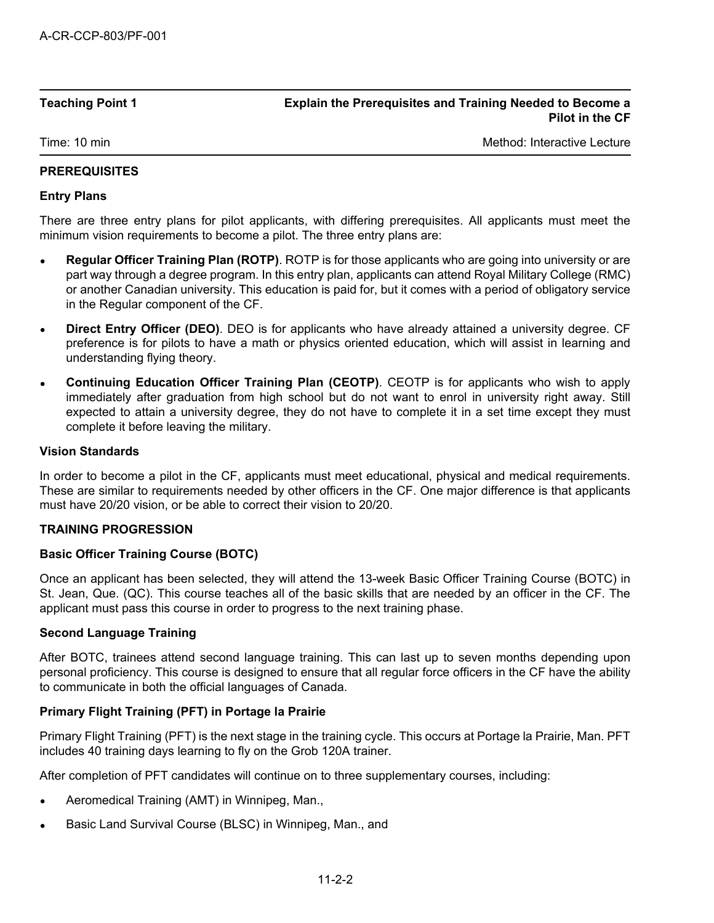# Teaching Point 1 Explain the Prerequisites and Training Needed to Become a Pilot in the CF

Time: 10 min Method: Interactive Lecture

#### **PREREQUISITES**

#### Entry Plans

There are three entry plans for pilot applicants, with differing prerequisites. All applicants must meet the minimum vision requirements to become a pilot. The three entry plans are:

- Regular Officer Training Plan (ROTP). ROTP is for those applicants who are going into university or are part way through a degree program. In this entry plan, applicants can attend Royal Military College (RMC) or another Canadian university. This education is paid for, but it comes with a period of obligatory service in the Regular component of the CF.
- Direct Entry Officer (DEO). DEO is for applicants who have already attained a university degree. CF  $\bullet$ preference is for pilots to have a math or physics oriented education, which will assist in learning and understanding flying theory.
- Continuing Education Officer Training Plan (CEOTP). CEOTP is for applicants who wish to apply immediately after graduation from high school but do not want to enrol in university right away. Still expected to attain a university degree, they do not have to complete it in a set time except they must complete it before leaving the military.

#### Vision Standards

In order to become a pilot in the CF, applicants must meet educational, physical and medical requirements. These are similar to requirements needed by other officers in the CF. One major difference is that applicants must have 20/20 vision, or be able to correct their vision to 20/20.

# TRAINING PROGRESSION

# Basic Officer Training Course (BOTC)

Once an applicant has been selected, they will attend the 13-week Basic Officer Training Course (BOTC) in St. Jean, Que. (QC). This course teaches all of the basic skills that are needed by an officer in the CF. The applicant must pass this course in order to progress to the next training phase.

# Second Language Training

After BOTC, trainees attend second language training. This can last up to seven months depending upon personal proficiency. This course is designed to ensure that all regular force officers in the CF have the ability to communicate in both the official languages of Canada.

# Primary Flight Training (PFT) in Portage la Prairie

Primary Flight Training (PFT) is the next stage in the training cycle. This occurs at Portage la Prairie, Man. PFT includes 40 training days learning to fly on the Grob 120A trainer.

After completion of PFT candidates will continue on to three supplementary courses, including:

- Aeromedical Training (AMT) in Winnipeg, Man.,
- Basic Land Survival Course (BLSC) in Winnipeg, Man., and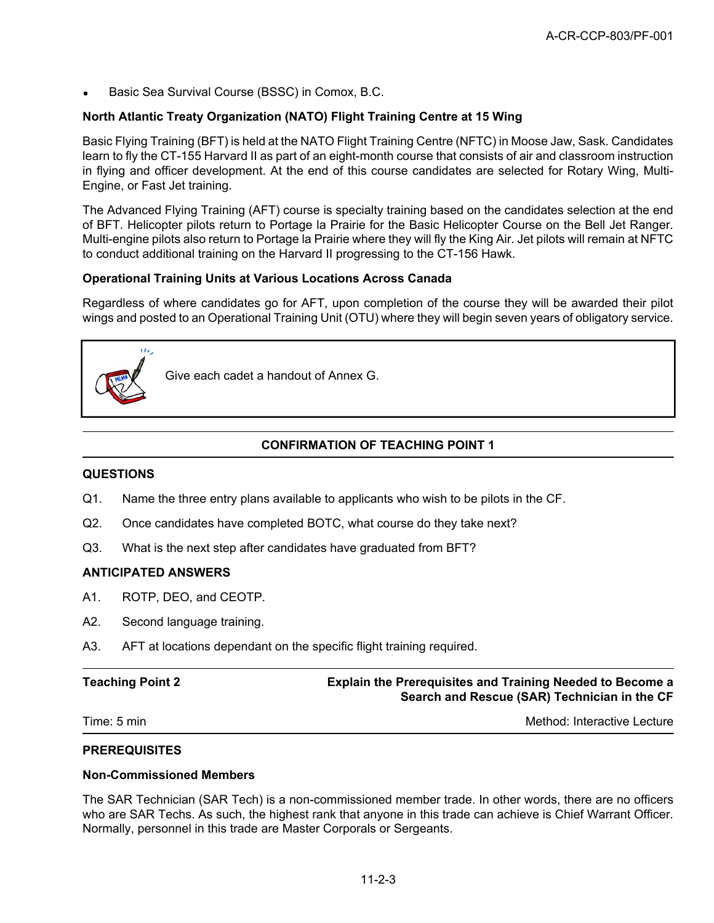Basic Sea Survival Course (BSSC) in Comox, B.C.

# North Atlantic Treaty Organization (NATO) Flight Training Centre at 15 Wing

Basic Flying Training (BFT) is held at the NATO Flight Training Centre (NFTC) in Moose Jaw, Sask. Candidates learn to fly the CT-155 Harvard II as part of an eight-month course that consists of air and classroom instruction in flying and officer development. At the end of this course candidates are selected for Rotary Wing, Multi-Engine, or Fast Jet training.

The Advanced Flying Training (AFT) course is specialty training based on the candidates selection at the end of BFT. Helicopter pilots return to Portage la Prairie for the Basic Helicopter Course on the Bell Jet Ranger. Multi-engine pilots also return to Portage la Prairie where they will fly the King Air. Jet pilots will remain at NFTC to conduct additional training on the Harvard II progressing to the CT-156 Hawk.

#### Operational Training Units at Various Locations Across Canada

Regardless of where candidates go for AFT, upon completion of the course they will be awarded their pilot wings and posted to an Operational Training Unit (OTU) where they will begin seven years of obligatory service.



Give each cadet a handout of Annex G.

# CONFIRMATION OF TEACHING POINT 1

#### **QUESTIONS**

- Q1. Name the three entry plans available to applicants who wish to be pilots in the CF.
- Q2. Once candidates have completed BOTC, what course do they take next?
- Q3. What is the next step after candidates have graduated from BFT?

#### ANTICIPATED ANSWERS

- A1. ROTP, DEO, and CEOTP.
- A2. Second language training.
- A3. AFT at locations dependant on the specific flight training required.

Teaching Point 2 Explain the Prerequisites and Training Needed to Become a Search and Rescue (SAR) Technician in the CF

Time: 5 min Method: Interactive Lecture Company of Time: 5 min Method: Interactive Lecture

#### **PREREQUISITES**

#### Non-Commissioned Members

The SAR Technician (SAR Tech) is a non-commissioned member trade. In other words, there are no officers who are SAR Techs. As such, the highest rank that anyone in this trade can achieve is Chief Warrant Officer. Normally, personnel in this trade are Master Corporals or Sergeants.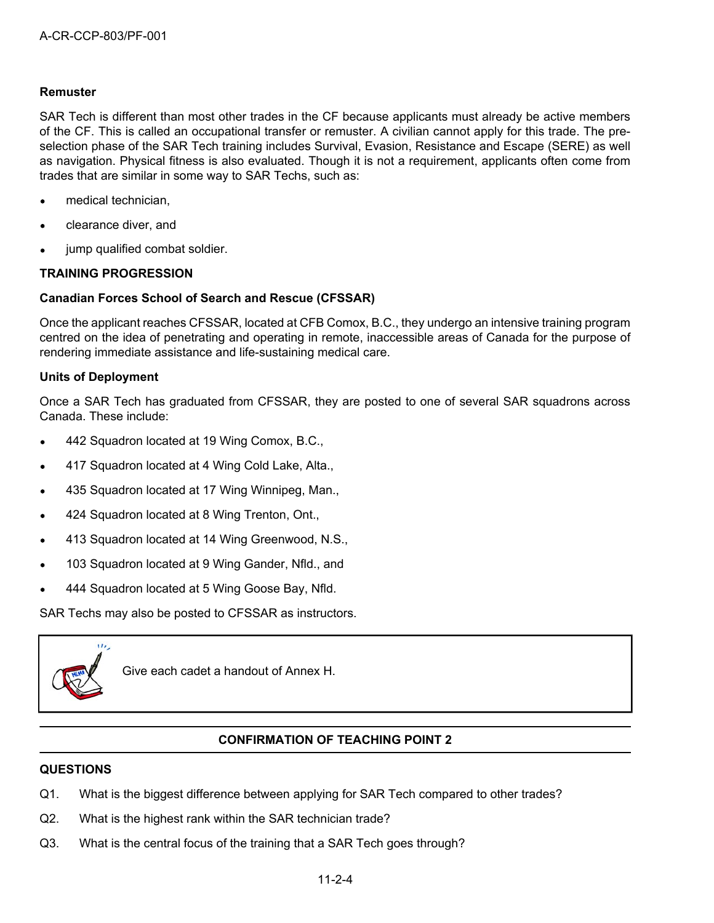# Remuster

SAR Tech is different than most other trades in the CF because applicants must already be active members of the CF. This is called an occupational transfer or remuster. A civilian cannot apply for this trade. The preselection phase of the SAR Tech training includes Survival, Evasion, Resistance and Escape (SERE) as well as navigation. Physical fitness is also evaluated. Though it is not a requirement, applicants often come from trades that are similar in some way to SAR Techs, such as:

- medical technician,
- clearance diver, and
- jump qualified combat soldier.

# TRAINING PROGRESSION

# Canadian Forces School of Search and Rescue (CFSSAR)

Once the applicant reaches CFSSAR, located at CFB Comox, B.C., they undergo an intensive training program centred on the idea of penetrating and operating in remote, inaccessible areas of Canada for the purpose of rendering immediate assistance and life-sustaining medical care.

# Units of Deployment

Once a SAR Tech has graduated from CFSSAR, they are posted to one of several SAR squadrons across Canada. These include:

- 442 Squadron located at 19 Wing Comox, B.C.,
- 417 Squadron located at 4 Wing Cold Lake, Alta.,
- 435 Squadron located at 17 Wing Winnipeg, Man.,
- 424 Squadron located at 8 Wing Trenton, Ont.,
- 413 Squadron located at 14 Wing Greenwood, N.S.,
- 103 Squadron located at 9 Wing Gander, Nfld., and
- 444 Squadron located at 5 Wing Goose Bay, Nfld.

SAR Techs may also be posted to CFSSAR as instructors.



Give each cadet a handout of Annex H.

# CONFIRMATION OF TEACHING POINT 2

# **QUESTIONS**

- Q1. What is the biggest difference between applying for SAR Tech compared to other trades?
- Q2. What is the highest rank within the SAR technician trade?
- Q3. What is the central focus of the training that a SAR Tech goes through?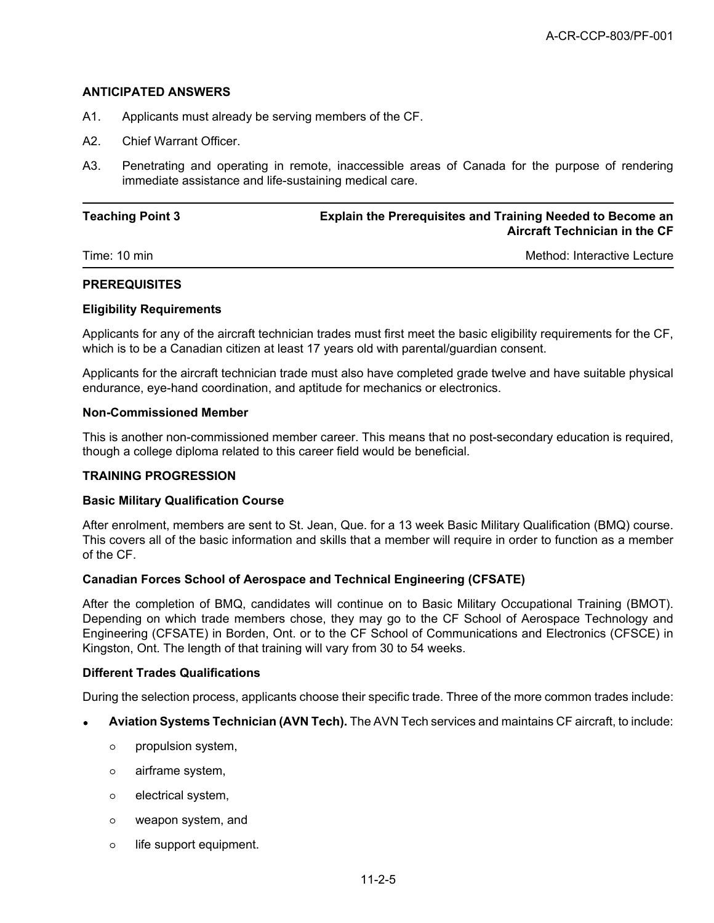#### ANTICIPATED ANSWERS

- A1. Applicants must already be serving members of the CF.
- A2. Chief Warrant Officer.
- A3. Penetrating and operating in remote, inaccessible areas of Canada for the purpose of rendering immediate assistance and life-sustaining medical care.

| <b>Teaching Point 3</b> | <b>Explain the Prerequisites and Training Needed to Become an</b> |
|-------------------------|-------------------------------------------------------------------|
|                         | <b>Aircraft Technician in the CF</b>                              |

Time: 10 min Method: Interactive Lecture Communication of the Method: Interactive Lecture

#### **PREREQUISITES**

#### Eligibility Requirements

Applicants for any of the aircraft technician trades must first meet the basic eligibility requirements for the CF, which is to be a Canadian citizen at least 17 years old with parental/guardian consent.

Applicants for the aircraft technician trade must also have completed grade twelve and have suitable physical endurance, eye-hand coordination, and aptitude for mechanics or electronics.

#### Non-Commissioned Member

This is another non-commissioned member career. This means that no post-secondary education is required, though a college diploma related to this career field would be beneficial.

# TRAINING PROGRESSION

#### Basic Military Qualification Course

After enrolment, members are sent to St. Jean, Que. for a 13 week Basic Military Qualification (BMQ) course. This covers all of the basic information and skills that a member will require in order to function as a member of the CF.

# Canadian Forces School of Aerospace and Technical Engineering (CFSATE)

After the completion of BMQ, candidates will continue on to Basic Military Occupational Training (BMOT). Depending on which trade members chose, they may go to the CF School of Aerospace Technology and Engineering (CFSATE) in Borden, Ont. or to the CF School of Communications and Electronics (CFSCE) in Kingston, Ont. The length of that training will vary from 30 to 54 weeks.

#### Different Trades Qualifications

During the selection process, applicants choose their specific trade. Three of the more common trades include:

- Aviation Systems Technician (AVN Tech). The AVN Tech services and maintains CF aircraft, to include:
	- $\circ$ propulsion system,
	- $\circ$ airframe system,
	- electrical system,  $\circ$
	- weapon system, and  $\circ$
	- life support equipment. $\circ$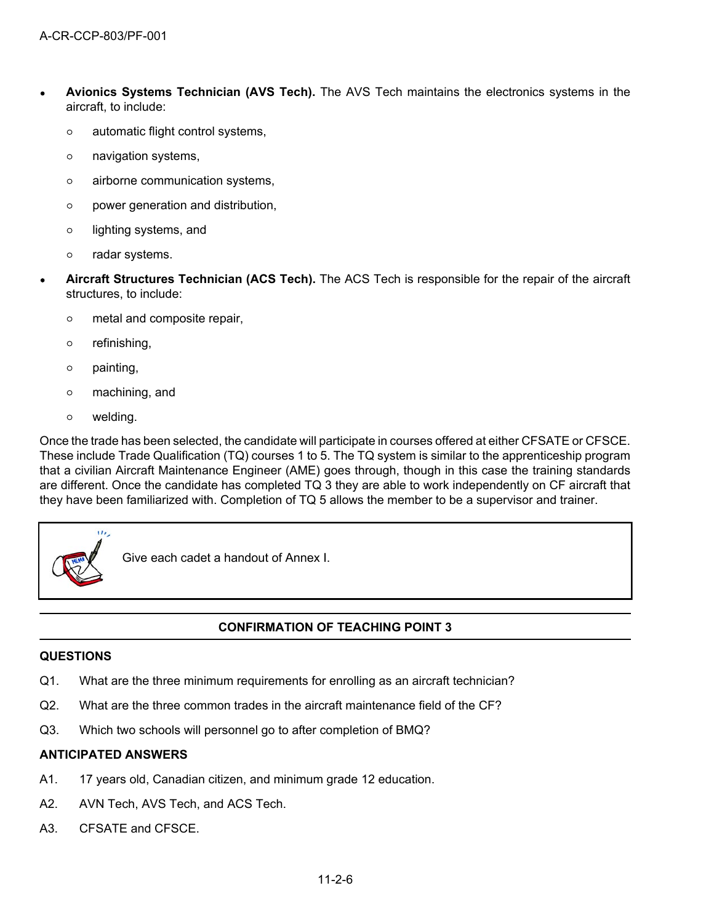- Avionics Systems Technician (AVS Tech). The AVS Tech maintains the electronics systems in the aircraft, to include:
	- automatic flight control systems,  $\circ$
	- navigation systems,  $\circ$
	- airborne communication systems,  $\circ$
	- $\circ$ power generation and distribution,
	- $\circ$ lighting systems, and
	- radar systems.  $\circ$
- Aircraft Structures Technician (ACS Tech). The ACS Tech is responsible for the repair of the aircraft structures, to include:
	- metal and composite repair,  $\circ$
	- $\circ$ refinishing,
	- painting,  $\circ$
	- machining, and  $\circ$
	- welding.  $\circ$

Once the trade has been selected, the candidate will participate in courses offered at either CFSATE or CFSCE. These include Trade Qualification (TQ) courses 1 to 5. The TQ system is similar to the apprenticeship program that a civilian Aircraft Maintenance Engineer (AME) goes through, though in this case the training standards are different. Once the candidate has completed TQ 3 they are able to work independently on CF aircraft that they have been familiarized with. Completion of TQ 5 allows the member to be a supervisor and trainer.



Give each cadet a handout of Annex I.

# CONFIRMATION OF TEACHING POINT 3

# **QUESTIONS**

- Q1. What are the three minimum requirements for enrolling as an aircraft technician?
- Q2. What are the three common trades in the aircraft maintenance field of the CF?
- Q3. Which two schools will personnel go to after completion of BMQ?

# ANTICIPATED ANSWERS

- A1. 17 years old, Canadian citizen, and minimum grade 12 education.
- A2. AVN Tech, AVS Tech, and ACS Tech.
- A3. CFSATE and CFSCE.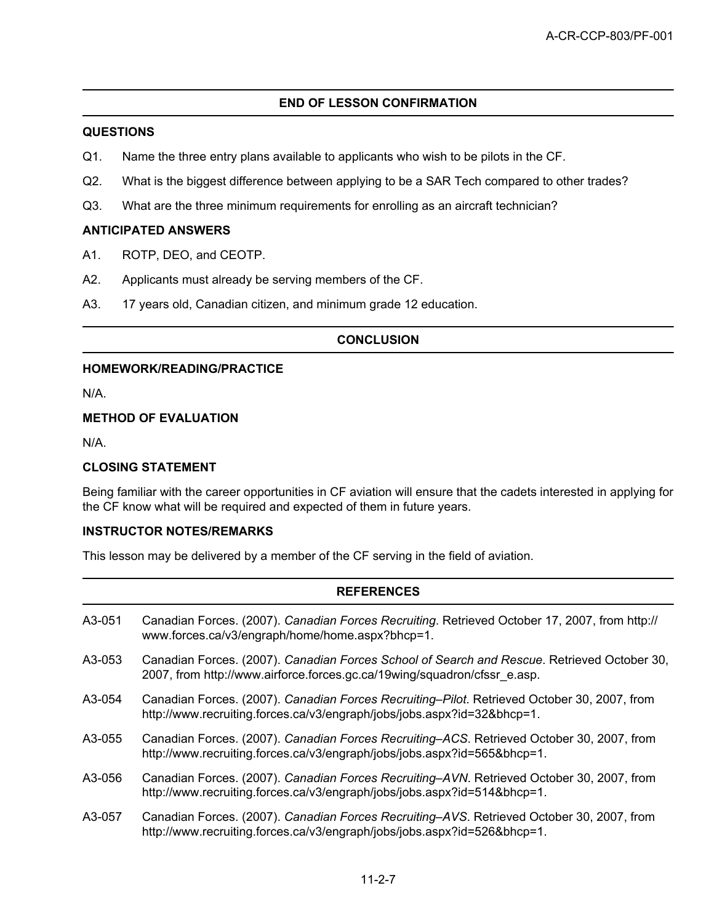# END OF LESSON CONFIRMATION

#### QUESTIONS

- Q1. Name the three entry plans available to applicants who wish to be pilots in the CF.
- Q2. What is the biggest difference between applying to be a SAR Tech compared to other trades?
- Q3. What are the three minimum requirements for enrolling as an aircraft technician?

#### ANTICIPATED ANSWERS

- A1. ROTP, DEO, and CEOTP.
- A2. Applicants must already be serving members of the CF.
- A3. 17 years old, Canadian citizen, and minimum grade 12 education.

# **CONCLUSION**

#### HOMEWORK/READING/PRACTICE

N/A.

#### METHOD OF EVALUATION

N/A.

# CLOSING STATEMENT

Being familiar with the career opportunities in CF aviation will ensure that the cadets interested in applying for the CF know what will be required and expected of them in future years.

#### INSTRUCTOR NOTES/REMARKS

This lesson may be delivered by a member of the CF serving in the field of aviation.

# **REFERENCES** A3-051 Canadian Forces. (2007). Canadian Forces Recruiting. Retrieved October 17, 2007, from http:// www.forces.ca/v3/engraph/home/home.aspx?bhcp=1. A3-053 Canadian Forces. (2007). Canadian Forces School of Search and Rescue. Retrieved October 30, 2007, from http://www.airforce.forces.gc.ca/19wing/squadron/cfssr\_e.asp.

- A3-054 Canadian Forces. (2007). Canadian Forces Recruiting–Pilot. Retrieved October 30, 2007, from http://www.recruiting.forces.ca/v3/engraph/jobs/jobs.aspx?id=32&bhcp=1.
- A3-055 Canadian Forces. (2007). Canadian Forces Recruiting–ACS. Retrieved October 30, 2007, from http://www.recruiting.forces.ca/v3/engraph/jobs/jobs.aspx?id=565&bhcp=1.
- A3-056 Canadian Forces. (2007). Canadian Forces Recruiting–AVN. Retrieved October 30, 2007, from http://www.recruiting.forces.ca/v3/engraph/jobs/jobs.aspx?id=514&bhcp=1.
- A3-057 Canadian Forces. (2007). Canadian Forces Recruiting–AVS. Retrieved October 30, 2007, from http://www.recruiting.forces.ca/v3/engraph/jobs/jobs.aspx?id=526&bhcp=1.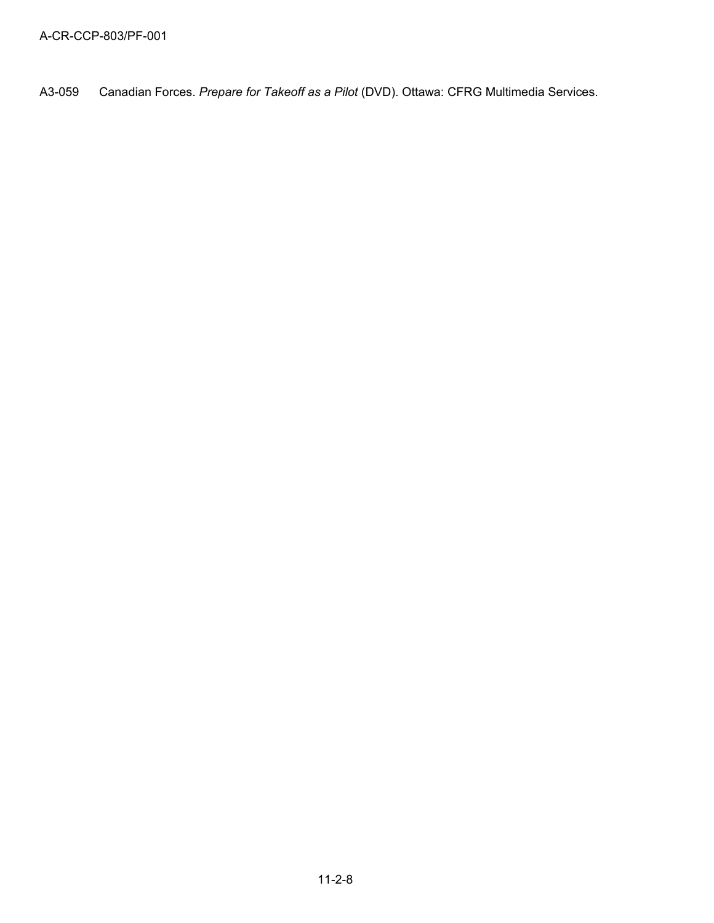A3-059 Canadian Forces. Prepare for Takeoff as a Pilot (DVD). Ottawa: CFRG Multimedia Services.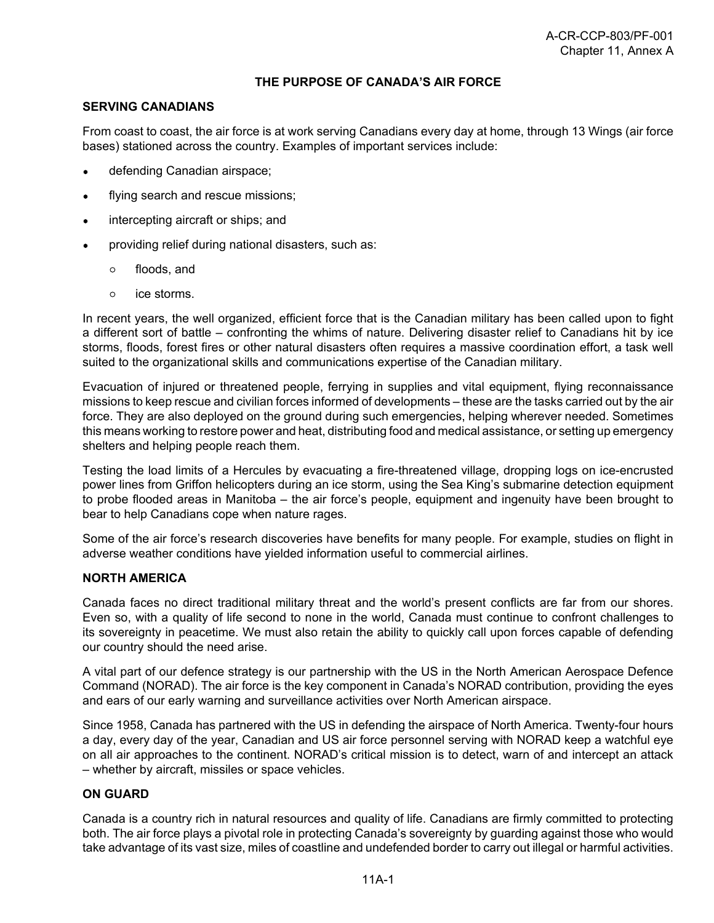# THE PURPOSE OF CANADA'S AIR FORCE

# SERVING CANADIANS

From coast to coast, the air force is at work serving Canadians every day at home, through 13 Wings (air force bases) stationed across the country. Examples of important services include:

- defending Canadian airspace;
- flying search and rescue missions;
- intercepting aircraft or ships; and
- providing relief during national disasters, such as:
	- floods, and  $\circ$
	- $\Omega$ ice storms.

In recent years, the well organized, efficient force that is the Canadian military has been called upon to fight a different sort of battle – confronting the whims of nature. Delivering disaster relief to Canadians hit by ice storms, floods, forest fires or other natural disasters often requires a massive coordination effort, a task well suited to the organizational skills and communications expertise of the Canadian military.

Evacuation of injured or threatened people, ferrying in supplies and vital equipment, flying reconnaissance missions to keep rescue and civilian forces informed of developments – these are the tasks carried out by the air force. They are also deployed on the ground during such emergencies, helping wherever needed. Sometimes this means working to restore power and heat, distributing food and medical assistance, or setting up emergency shelters and helping people reach them.

Testing the load limits of a Hercules by evacuating a fire-threatened village, dropping logs on ice-encrusted power lines from Griffon helicopters during an ice storm, using the Sea King's submarine detection equipment to probe flooded areas in Manitoba – the air force's people, equipment and ingenuity have been brought to bear to help Canadians cope when nature rages.

Some of the air force's research discoveries have benefits for many people. For example, studies on flight in adverse weather conditions have yielded information useful to commercial airlines.

# NORTH AMERICA

Canada faces no direct traditional military threat and the world's present conflicts are far from our shores. Even so, with a quality of life second to none in the world, Canada must continue to confront challenges to its sovereignty in peacetime. We must also retain the ability to quickly call upon forces capable of defending our country should the need arise.

A vital part of our defence strategy is our partnership with the US in the North American Aerospace Defence Command (NORAD). The air force is the key component in Canada's NORAD contribution, providing the eyes and ears of our early warning and surveillance activities over North American airspace.

Since 1958, Canada has partnered with the US in defending the airspace of North America. Twenty-four hours a day, every day of the year, Canadian and US air force personnel serving with NORAD keep a watchful eye on all air approaches to the continent. NORAD's critical mission is to detect, warn of and intercept an attack – whether by aircraft, missiles or space vehicles.

# ON GUARD

Canada is a country rich in natural resources and quality of life. Canadians are firmly committed to protecting both. The air force plays a pivotal role in protecting Canada's sovereignty by guarding against those who would take advantage of its vast size, miles of coastline and undefended border to carry out illegal or harmful activities.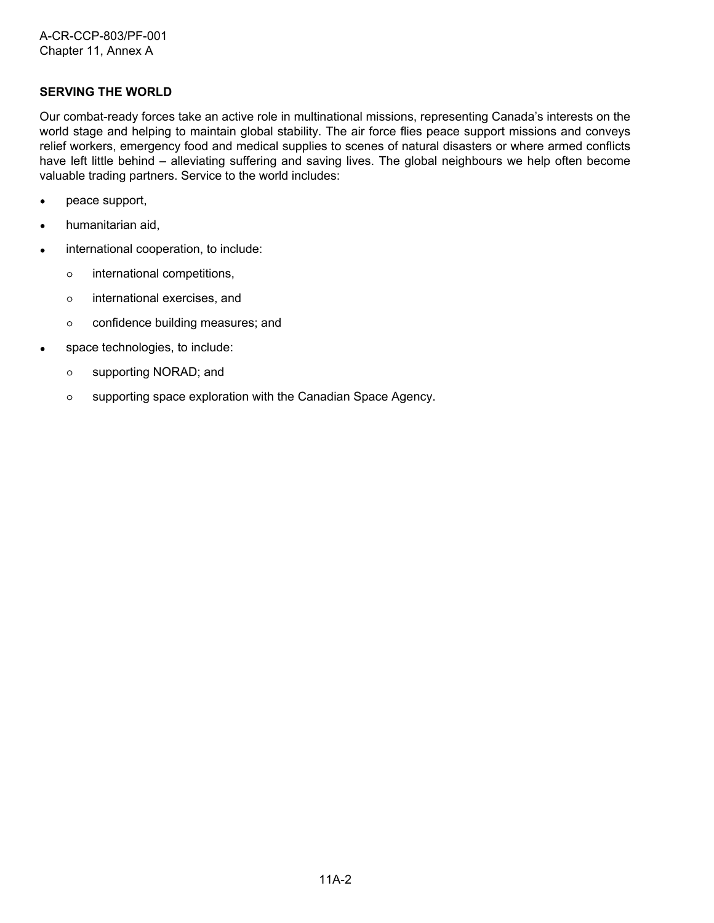# SERVING THE WORLD

Our combat-ready forces take an active role in multinational missions, representing Canada's interests on the world stage and helping to maintain global stability. The air force flies peace support missions and conveys relief workers, emergency food and medical supplies to scenes of natural disasters or where armed conflicts have left little behind – alleviating suffering and saving lives. The global neighbours we help often become valuable trading partners. Service to the world includes:

- peace support,  $\bullet$
- humanitarian aid,  $\bullet$
- international cooperation, to include:
	- $\circ$ international competitions,
	- international exercises, and  $\circ$
	- confidence building measures; and  $\circ$
- space technologies, to include:
	- $\circ$ supporting NORAD; and
	- supporting space exploration with the Canadian Space Agency. $\circ$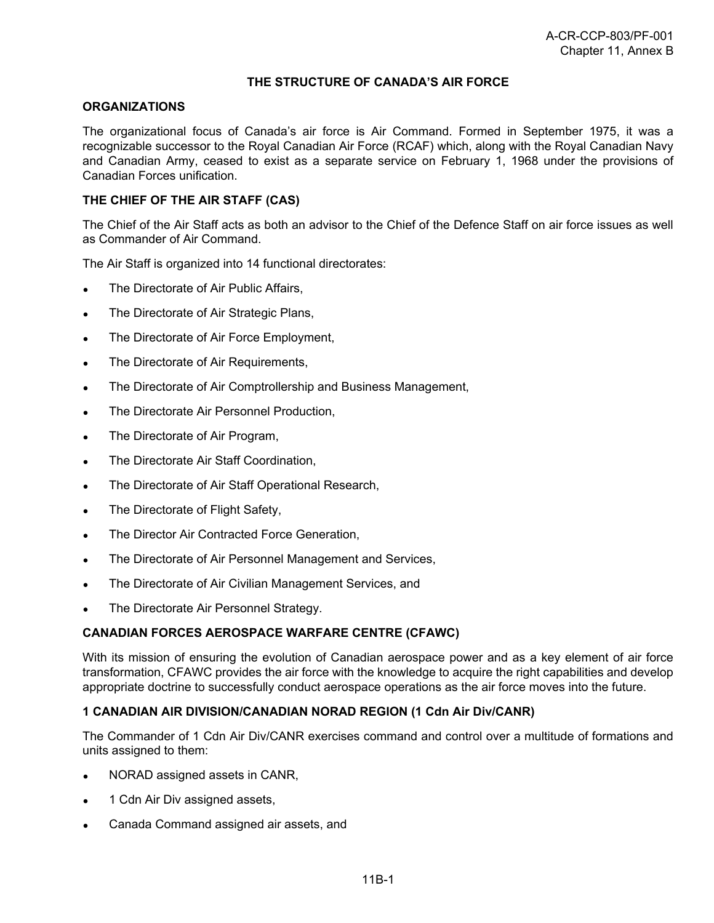### THE STRUCTURE OF CANADA'S AIR FORCE

#### **ORGANIZATIONS**

The organizational focus of Canada's air force is Air Command. Formed in September 1975, it was a recognizable successor to the Royal Canadian Air Force (RCAF) which, along with the Royal Canadian Navy and Canadian Army, ceased to exist as a separate service on February 1, 1968 under the provisions of Canadian Forces unification.

#### THE CHIEF OF THE AIR STAFF (CAS)

The Chief of the Air Staff acts as both an advisor to the Chief of the Defence Staff on air force issues as well as Commander of Air Command.

The Air Staff is organized into 14 functional directorates:

- The Directorate of Air Public Affairs,
- The Directorate of Air Strategic Plans,
- The Directorate of Air Force Employment,
- The Directorate of Air Requirements,
- The Directorate of Air Comptrollership and Business Management,
- The Directorate Air Personnel Production,
- The Directorate of Air Program,
- The Directorate Air Staff Coordination,
- The Directorate of Air Staff Operational Research,
- The Directorate of Flight Safety,
- The Director Air Contracted Force Generation,
- The Directorate of Air Personnel Management and Services,
- The Directorate of Air Civilian Management Services, and
- The Directorate Air Personnel Strategy.

#### CANADIAN FORCES AEROSPACE WARFARE CENTRE (CFAWC)

With its mission of ensuring the evolution of Canadian aerospace power and as a key element of air force transformation, CFAWC provides the air force with the knowledge to acquire the right capabilities and develop appropriate doctrine to successfully conduct aerospace operations as the air force moves into the future.

# 1 CANADIAN AIR DIVISION/CANADIAN NORAD REGION (1 Cdn Air Div/CANR)

The Commander of 1 Cdn Air Div/CANR exercises command and control over a multitude of formations and units assigned to them:

- NORAD assigned assets in CANR,
- 1 Cdn Air Div assigned assets,
- Canada Command assigned air assets, and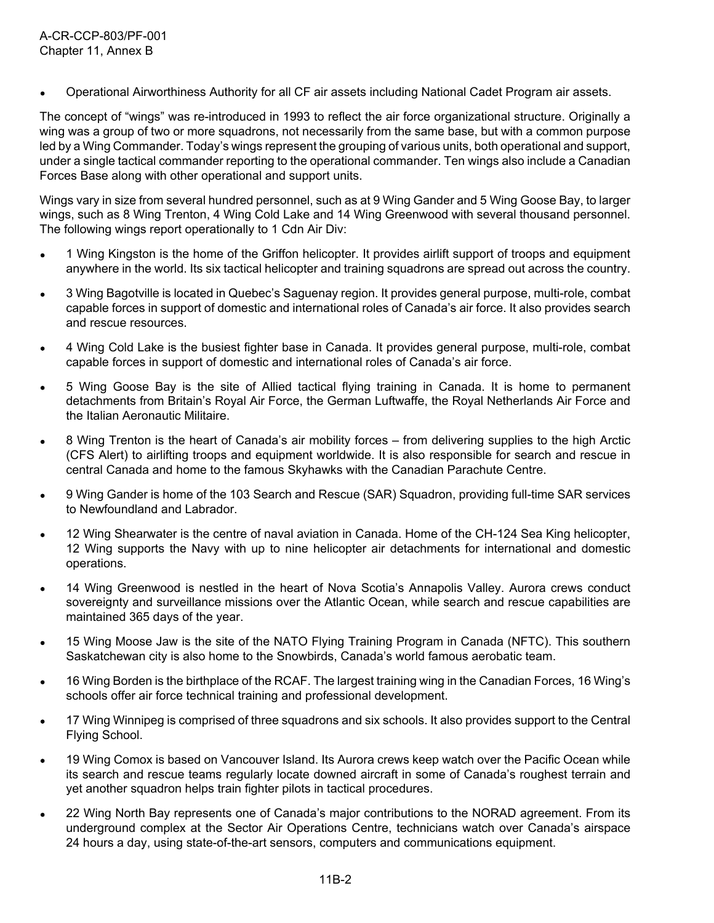Operational Airworthiness Authority for all CF air assets including National Cadet Program air assets.  $\bullet$ 

The concept of "wings" was re-introduced in 1993 to reflect the air force organizational structure. Originally a wing was a group of two or more squadrons, not necessarily from the same base, but with a common purpose led by a Wing Commander. Today's wings represent the grouping of various units, both operational and support, under a single tactical commander reporting to the operational commander. Ten wings also include a Canadian Forces Base along with other operational and support units.

Wings vary in size from several hundred personnel, such as at 9 Wing Gander and 5 Wing Goose Bay, to larger wings, such as 8 Wing Trenton, 4 Wing Cold Lake and 14 Wing Greenwood with several thousand personnel. The following wings report operationally to 1 Cdn Air Div:

- 1 Wing Kingston is the home of the Griffon helicopter. It provides airlift support of troops and equipment  $\bullet$ anywhere in the world. Its six tactical helicopter and training squadrons are spread out across the country.
- 3 Wing Bagotville is located in Quebec's Saguenay region. It provides general purpose, multi-role, combat capable forces in support of domestic and international roles of Canada's air force. It also provides search and rescue resources.
- 4 Wing Cold Lake is the busiest fighter base in Canada. It provides general purpose, multi-role, combat  $\bullet$ capable forces in support of domestic and international roles of Canada's air force.
- 5 Wing Goose Bay is the site of Allied tactical flying training in Canada. It is home to permanent detachments from Britain's Royal Air Force, the German Luftwaffe, the Royal Netherlands Air Force and the Italian Aeronautic Militaire.
- 8 Wing Trenton is the heart of Canada's air mobility forces from delivering supplies to the high Arctic (CFS Alert) to airlifting troops and equipment worldwide. It is also responsible for search and rescue in central Canada and home to the famous Skyhawks with the Canadian Parachute Centre.
- 9 Wing Gander is home of the 103 Search and Rescue (SAR) Squadron, providing full-time SAR services to Newfoundland and Labrador.
- 12 Wing Shearwater is the centre of naval aviation in Canada. Home of the CH-124 Sea King helicopter, 12 Wing supports the Navy with up to nine helicopter air detachments for international and domestic operations.
- 14 Wing Greenwood is nestled in the heart of Nova Scotia's Annapolis Valley. Aurora crews conduct sovereignty and surveillance missions over the Atlantic Ocean, while search and rescue capabilities are maintained 365 days of the year.
- 15 Wing Moose Jaw is the site of the NATO Flying Training Program in Canada (NFTC). This southern Saskatchewan city is also home to the Snowbirds, Canada's world famous aerobatic team.
- 16 Wing Borden is the birthplace of the RCAF. The largest training wing in the Canadian Forces, 16 Wing's  $\bullet$ schools offer air force technical training and professional development.
- 17 Wing Winnipeg is comprised of three squadrons and six schools. It also provides support to the Central  $\bullet$ Flying School.
- 19 Wing Comox is based on Vancouver Island. Its Aurora crews keep watch over the Pacific Ocean while  $\bullet$ its search and rescue teams regularly locate downed aircraft in some of Canada's roughest terrain and yet another squadron helps train fighter pilots in tactical procedures.
- 22 Wing North Bay represents one of Canada's major contributions to the NORAD agreement. From its underground complex at the Sector Air Operations Centre, technicians watch over Canada's airspace 24 hours a day, using state-of-the-art sensors, computers and communications equipment.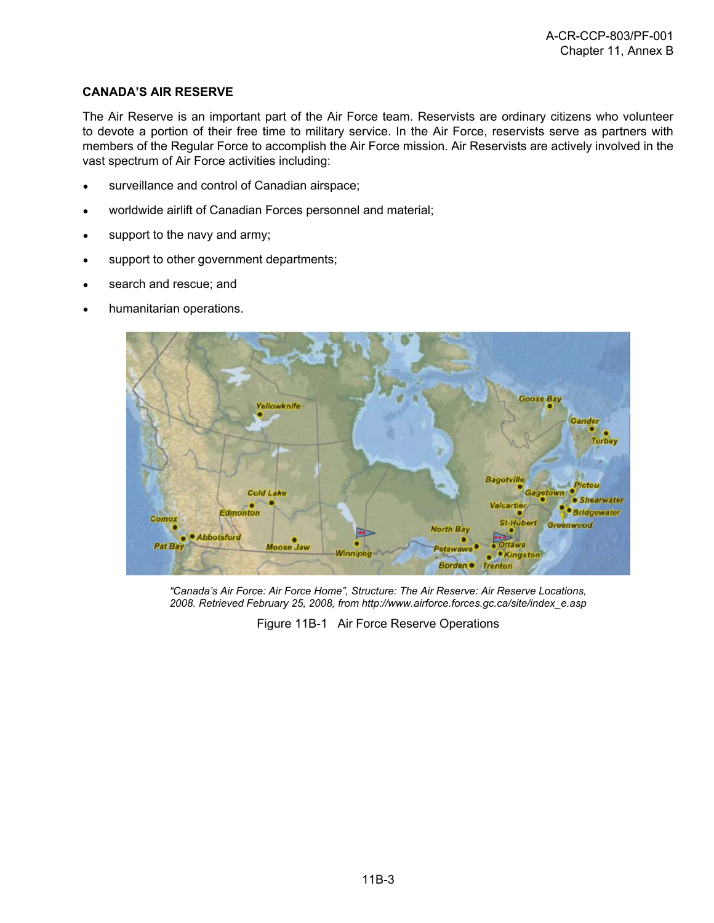# CANADA'S AIR RESERVE

The Air Reserve is an important part of the Air Force team. Reservists are ordinary citizens who volunteer to devote a portion of their free time to military service. In the Air Force, reservists serve as partners with members of the Regular Force to accomplish the Air Force mission. Air Reservists are actively involved in the vast spectrum of Air Force activities including:

- surveillance and control of Canadian airspace;
- worldwide airlift of Canadian Forces personnel and material;
- support to the navy and army;
- support to other government departments;
- search and rescue; and
- humanitarian operations.



"Canada's Air Force: Air Force Home", Structure: The Air Reserve: Air Reserve Locations, 2008. Retrieved February 25, 2008, from http://www.airforce.forces.gc.ca/site/index\_e.asp

Figure 11B-1 Air Force Reserve Operations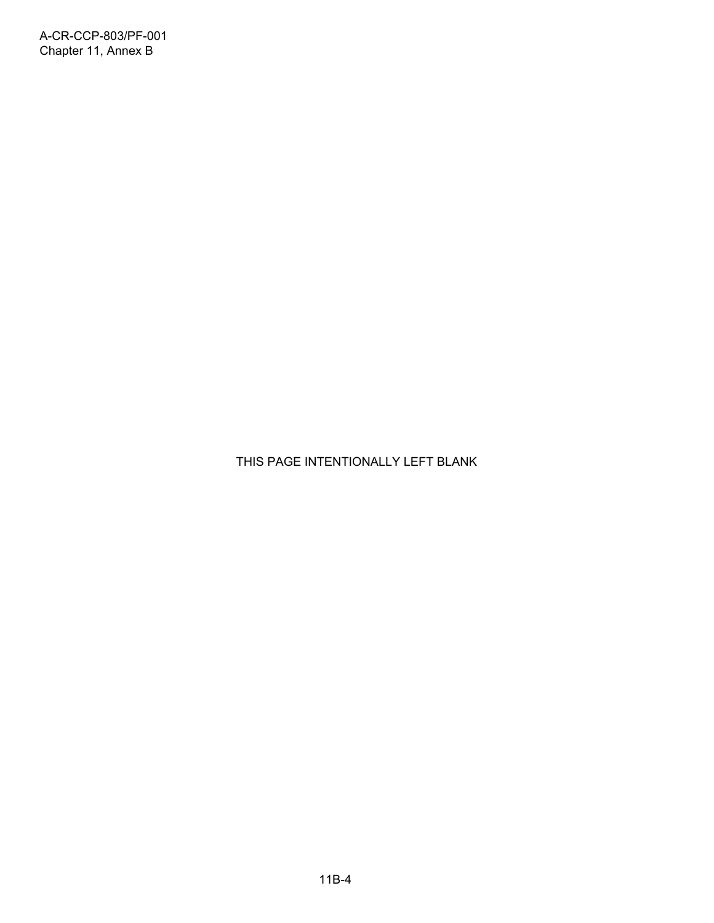THIS PAGE INTENTIONALLY LEFT BLANK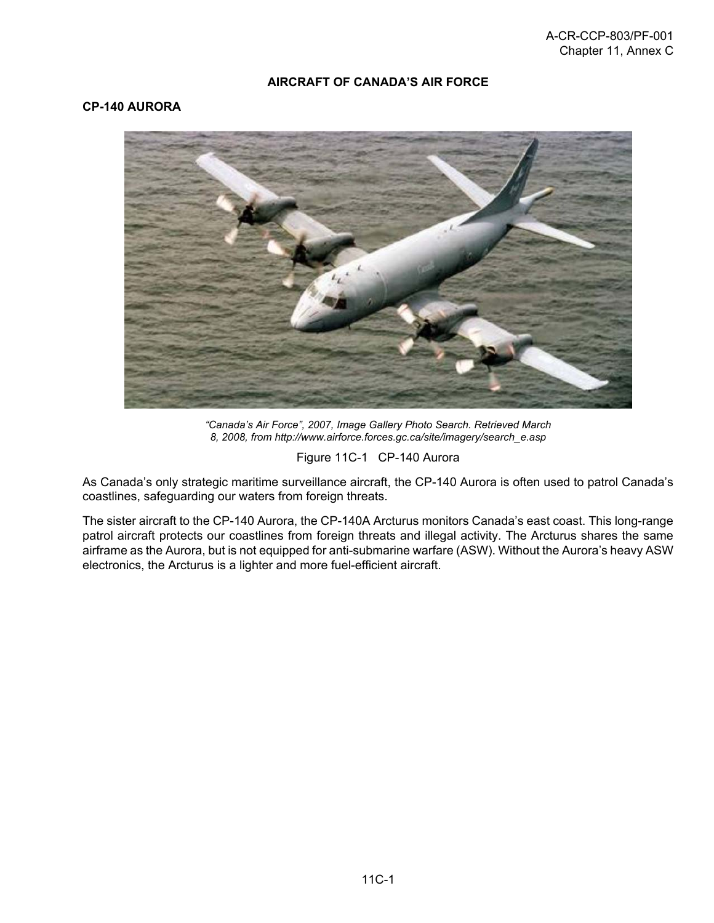# AIRCRAFT OF CANADA'S AIR FORCE

#### CP-140 AURORA



"Canada's Air Force", 2007, Image Gallery Photo Search. Retrieved March 8, 2008, from http://www.airforce.forces.gc.ca/site/imagery/search\_e.asp

Figure 11C-1 CP-140 Aurora

As Canada's only strategic maritime surveillance aircraft, the CP-140 Aurora is often used to patrol Canada's coastlines, safeguarding our waters from foreign threats.

The sister aircraft to the CP-140 Aurora, the CP-140A Arcturus monitors Canada's east coast. This long-range patrol aircraft protects our coastlines from foreign threats and illegal activity. The Arcturus shares the same airframe as the Aurora, but is not equipped for anti-submarine warfare (ASW). Without the Aurora's heavy ASW electronics, the Arcturus is a lighter and more fuel-efficient aircraft.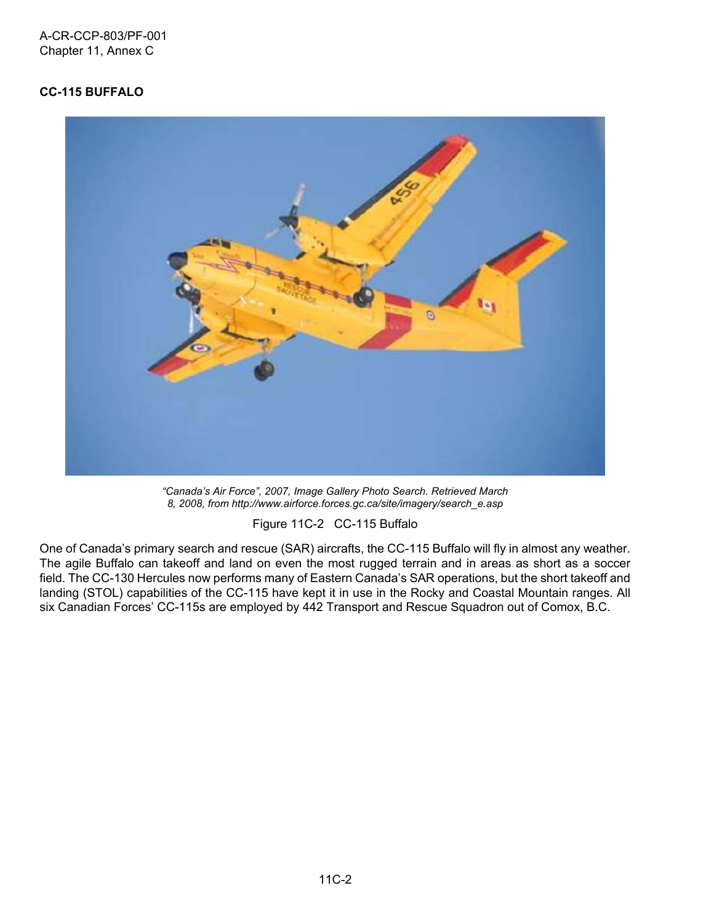# CC-115 BUFFALO



"Canada's Air Force", 2007, Image Gallery Photo Search. Retrieved March 8, 2008, from http://www.airforce.forces.gc.ca/site/imagery/search\_e.asp

Figure 11C-2 CC-115 Buffalo

One of Canada's primary search and rescue (SAR) aircrafts, the CC-115 Buffalo will fly in almost any weather. The agile Buffalo can takeoff and land on even the most rugged terrain and in areas as short as a soccer field. The CC-130 Hercules now performs many of Eastern Canada's SAR operations, but the short takeoff and landing (STOL) capabilities of the CC-115 have kept it in use in the Rocky and Coastal Mountain ranges. All six Canadian Forces' CC-115s are employed by 442 Transport and Rescue Squadron out of Comox, B.C.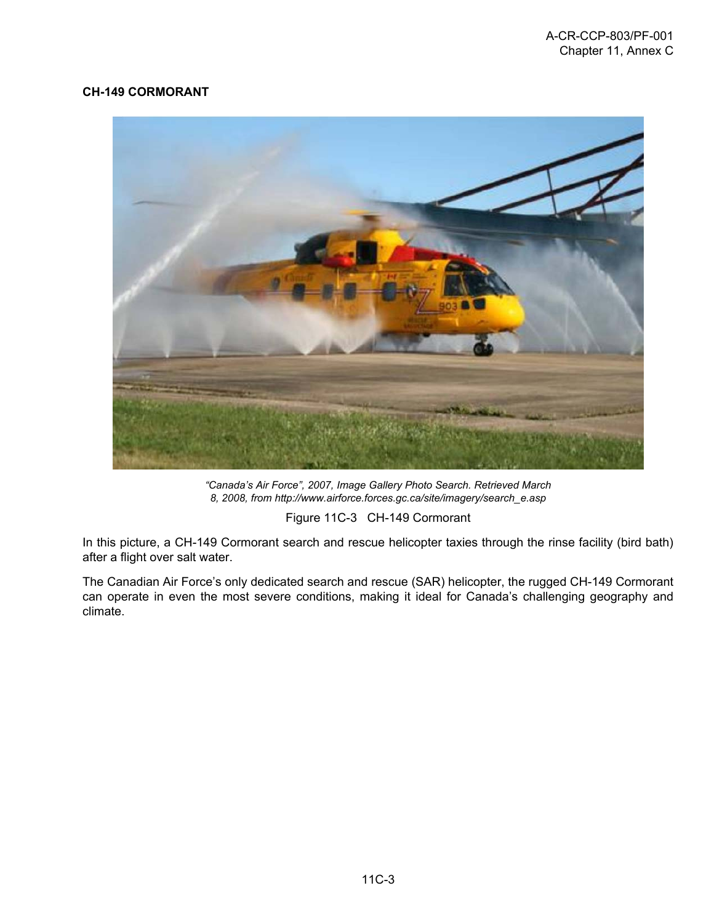# CH-149 CORMORANT



"Canada's Air Force", 2007, Image Gallery Photo Search. Retrieved March 8, 2008, from http://www.airforce.forces.gc.ca/site/imagery/search\_e.asp

Figure 11C-3 CH-149 Cormorant

In this picture, a CH-149 Cormorant search and rescue helicopter taxies through the rinse facility (bird bath) after a flight over salt water.

The Canadian Air Force's only dedicated search and rescue (SAR) helicopter, the rugged CH-149 Cormorant can operate in even the most severe conditions, making it ideal for Canada's challenging geography and climate.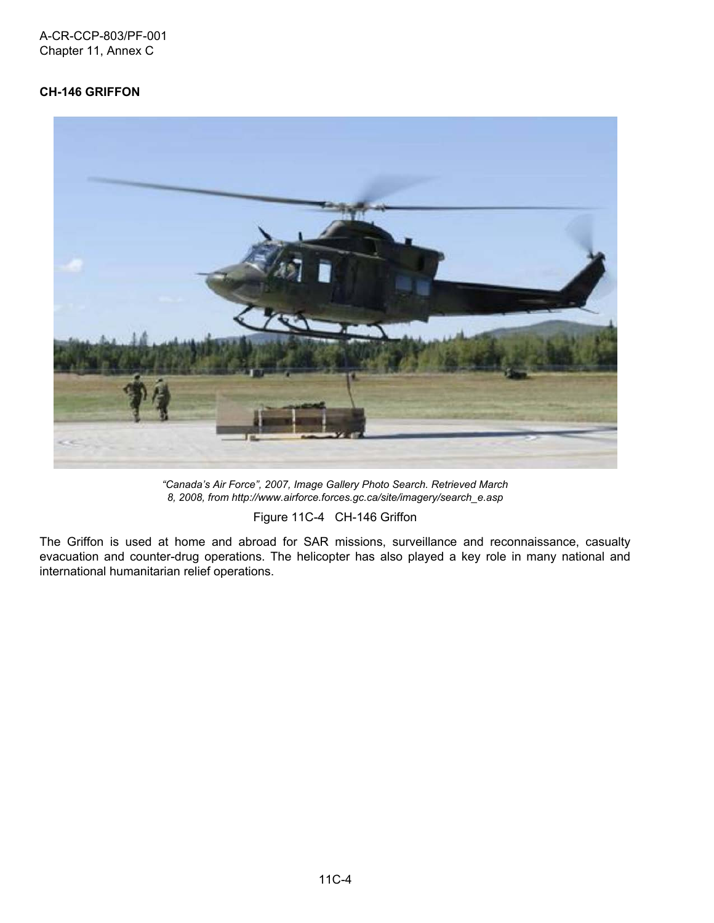# CH-146 GRIFFON



"Canada's Air Force", 2007, Image Gallery Photo Search. Retrieved March 8, 2008, from http://www.airforce.forces.gc.ca/site/imagery/search\_e.asp

Figure 11C-4 CH-146 Griffon

The Griffon is used at home and abroad for SAR missions, surveillance and reconnaissance, casualty evacuation and counter-drug operations. The helicopter has also played a key role in many national and international humanitarian relief operations.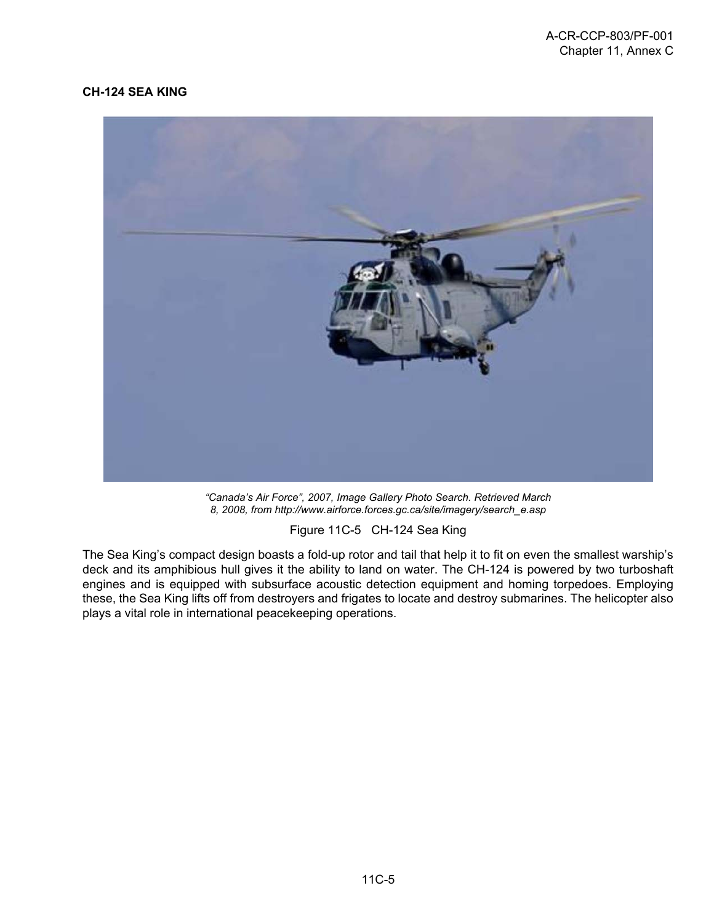# CH-124 SEA KING



"Canada's Air Force", 2007, Image Gallery Photo Search. Retrieved March 8, 2008, from http://www.airforce.forces.gc.ca/site/imagery/search\_e.asp

Figure 11C-5 CH-124 Sea King

The Sea King's compact design boasts a fold-up rotor and tail that help it to fit on even the smallest warship's deck and its amphibious hull gives it the ability to land on water. The CH-124 is powered by two turboshaft engines and is equipped with subsurface acoustic detection equipment and homing torpedoes. Employing these, the Sea King lifts off from destroyers and frigates to locate and destroy submarines. The helicopter also plays a vital role in international peacekeeping operations.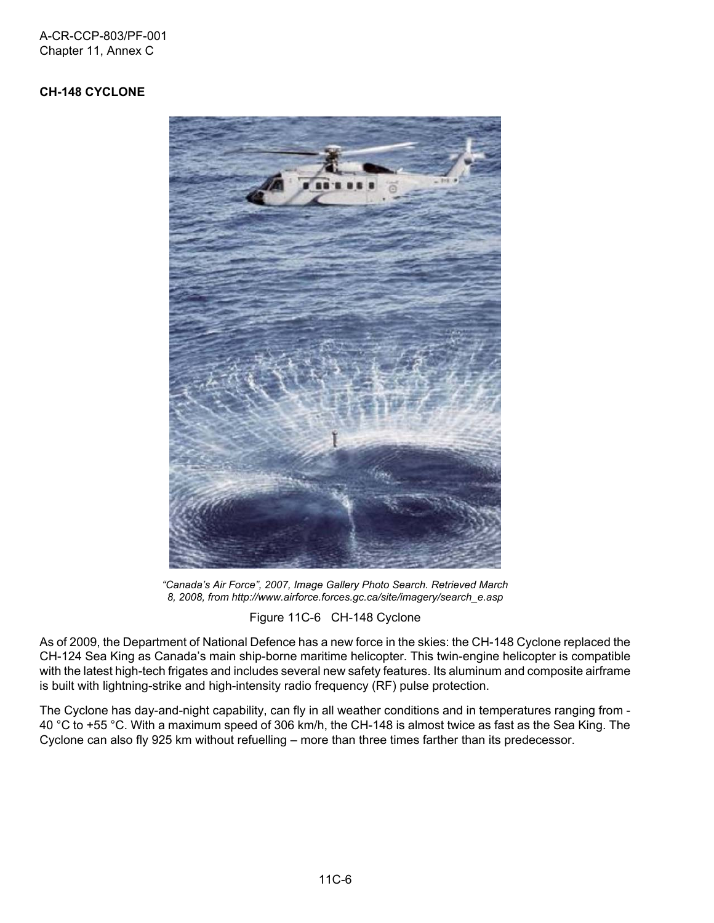# CH-148 CYCLONE



"Canada's Air Force", 2007, Image Gallery Photo Search. Retrieved March 8, 2008, from http://www.airforce.forces.gc.ca/site/imagery/search\_e.asp

Figure 11C-6 CH-148 Cyclone

As of 2009, the Department of National Defence has a new force in the skies: the CH-148 Cyclone replaced the CH-124 Sea King as Canada's main ship-borne maritime helicopter. This twin-engine helicopter is compatible with the latest high-tech frigates and includes several new safety features. Its aluminum and composite airframe is built with lightning-strike and high-intensity radio frequency (RF) pulse protection.

The Cyclone has day-and-night capability, can fly in all weather conditions and in temperatures ranging from - 40 °C to +55 °C. With a maximum speed of 306 km/h, the CH-148 is almost twice as fast as the Sea King. The Cyclone can also fly 925 km without refuelling – more than three times farther than its predecessor.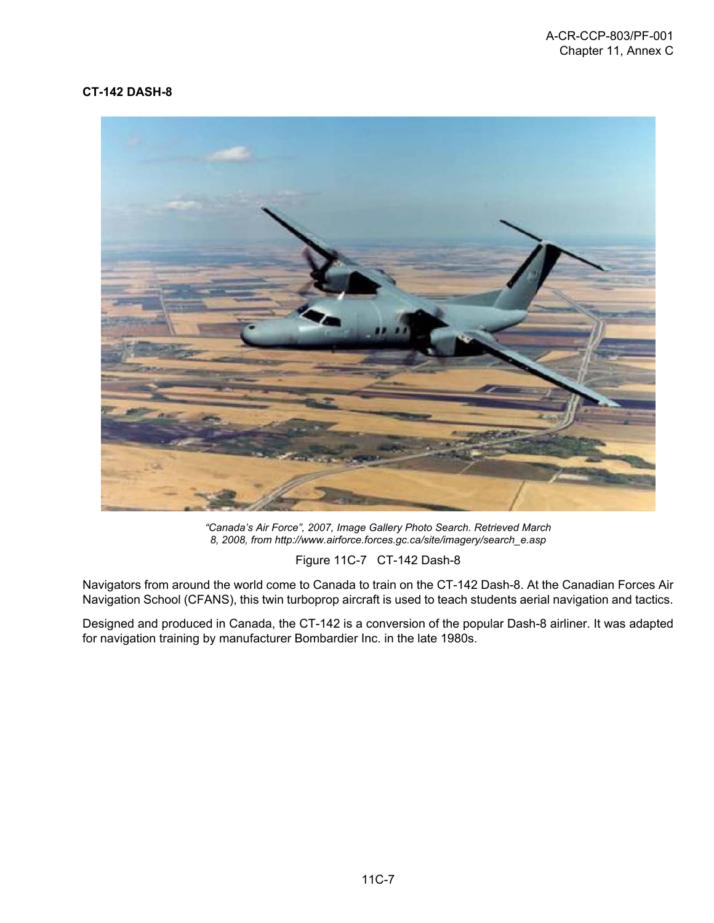# CT-142 DASH-8



"Canada's Air Force", 2007, Image Gallery Photo Search. Retrieved March 8, 2008, from http://www.airforce.forces.gc.ca/site/imagery/search\_e.asp

Figure 11C-7 CT-142 Dash-8

Navigators from around the world come to Canada to train on the CT-142 Dash-8. At the Canadian Forces Air Navigation School (CFANS), this twin turboprop aircraft is used to teach students aerial navigation and tactics.

Designed and produced in Canada, the CT-142 is a conversion of the popular Dash-8 airliner. It was adapted for navigation training by manufacturer Bombardier Inc. in the late 1980s.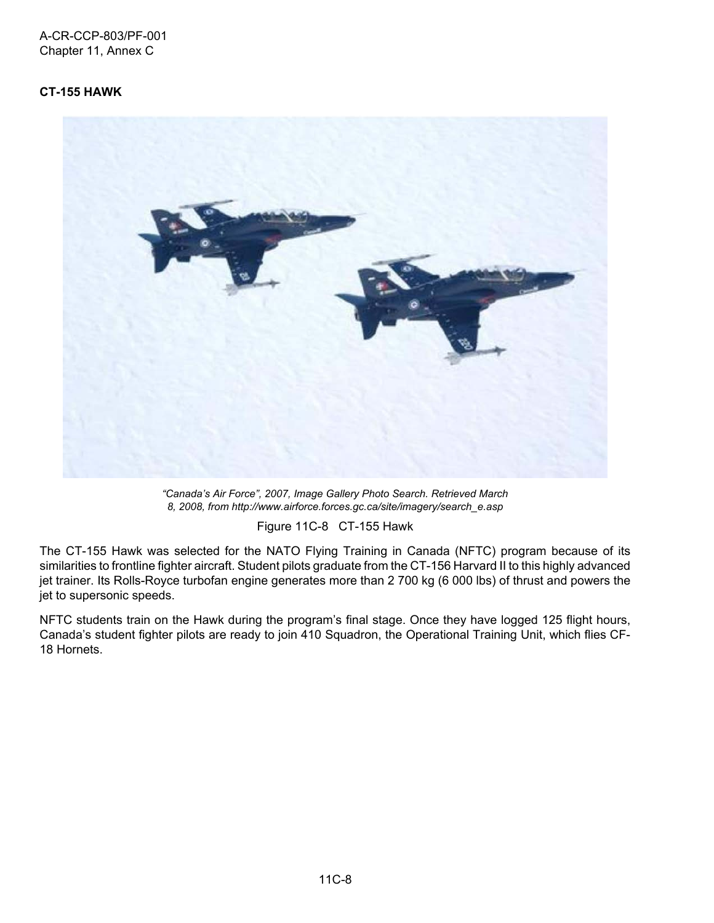# CT-155 HAWK



"Canada's Air Force", 2007, Image Gallery Photo Search. Retrieved March 8, 2008, from http://www.airforce.forces.gc.ca/site/imagery/search\_e.asp

Figure 11C-8 CT-155 Hawk

The CT-155 Hawk was selected for the NATO Flying Training in Canada (NFTC) program because of its similarities to frontline fighter aircraft. Student pilots graduate from the CT-156 Harvard II to this highly advanced jet trainer. Its Rolls-Royce turbofan engine generates more than 2 700 kg (6 000 lbs) of thrust and powers the jet to supersonic speeds.

NFTC students train on the Hawk during the program's final stage. Once they have logged 125 flight hours, Canada's student fighter pilots are ready to join 410 Squadron, the Operational Training Unit, which flies CF-18 Hornets.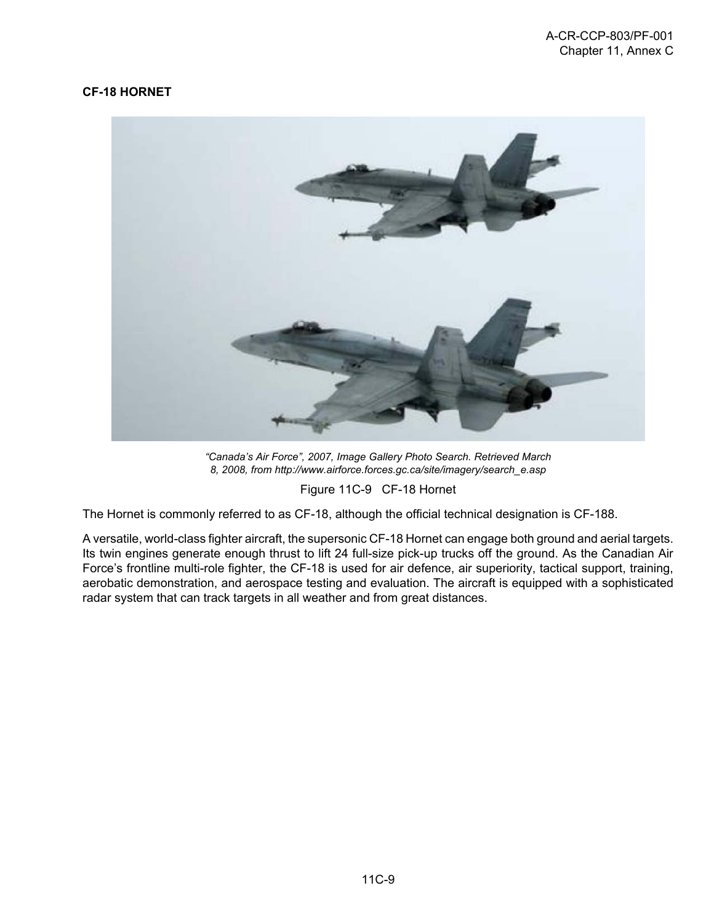# CF-18 HORNET



"Canada's Air Force", 2007, Image Gallery Photo Search. Retrieved March 8, 2008, from http://www.airforce.forces.gc.ca/site/imagery/search\_e.asp

#### Figure 11C-9 CF-18 Hornet

The Hornet is commonly referred to as CF-18, although the official technical designation is CF-188.

A versatile, world-class fighter aircraft, the supersonic CF-18 Hornet can engage both ground and aerial targets. Its twin engines generate enough thrust to lift 24 full-size pick-up trucks off the ground. As the Canadian Air Force's frontline multi-role fighter, the CF-18 is used for air defence, air superiority, tactical support, training, aerobatic demonstration, and aerospace testing and evaluation. The aircraft is equipped with a sophisticated radar system that can track targets in all weather and from great distances.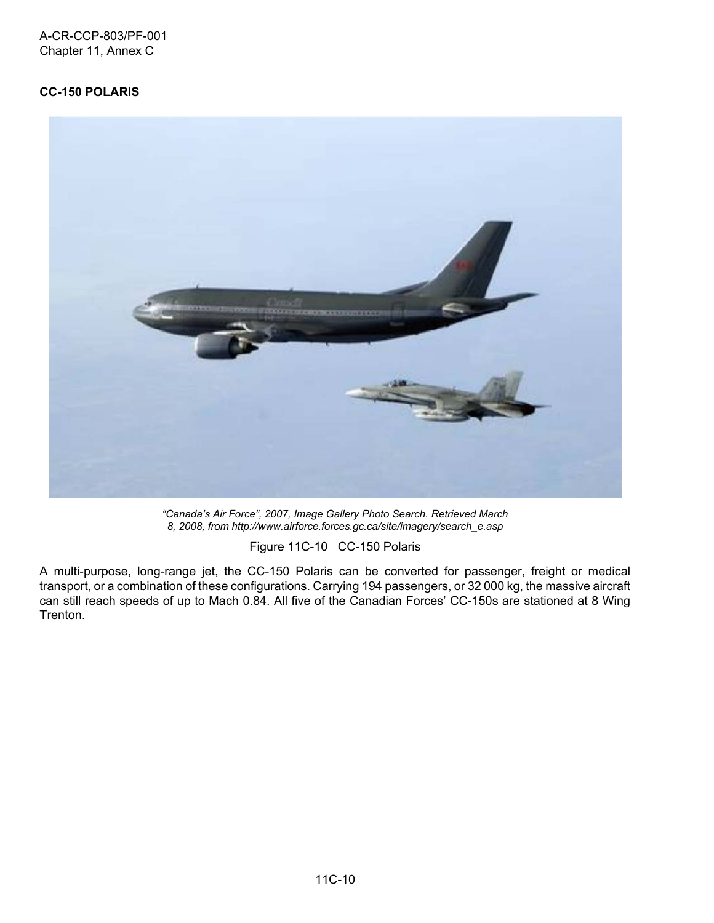# CC-150 POLARIS



"Canada's Air Force", 2007, Image Gallery Photo Search. Retrieved March 8, 2008, from http://www.airforce.forces.gc.ca/site/imagery/search\_e.asp

Figure 11C-10 CC-150 Polaris

A multi-purpose, long-range jet, the CC-150 Polaris can be converted for passenger, freight or medical transport, or a combination of these configurations. Carrying 194 passengers, or 32 000 kg, the massive aircraft can still reach speeds of up to Mach 0.84. All five of the Canadian Forces' CC-150s are stationed at 8 Wing Trenton.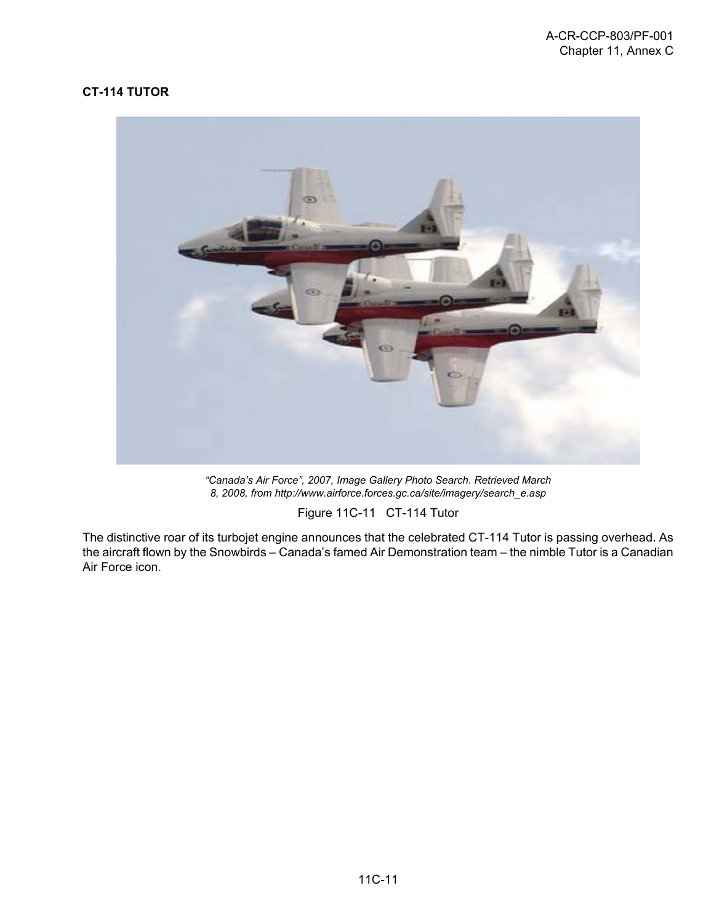# CT-114 TUTOR



"Canada's Air Force", 2007, Image Gallery Photo Search. Retrieved March 8, 2008, from http://www.airforce.forces.gc.ca/site/imagery/search\_e.asp

Figure 11C-11 CT-114 Tutor

The distinctive roar of its turbojet engine announces that the celebrated CT-114 Tutor is passing overhead. As the aircraft flown by the Snowbirds – Canada's famed Air Demonstration team – the nimble Tutor is a Canadian Air Force icon.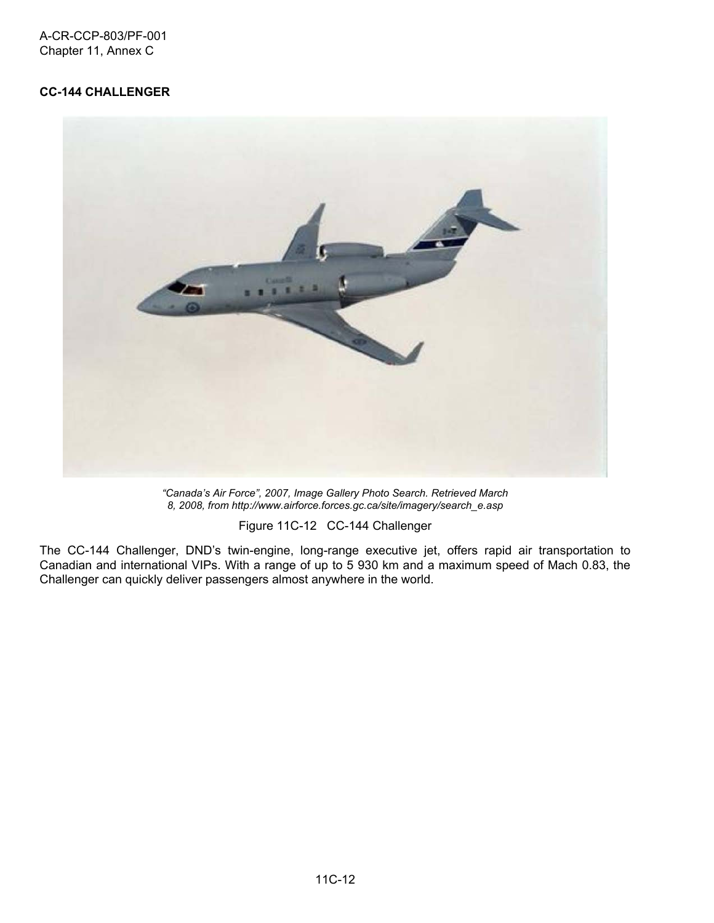# CC-144 CHALLENGER



"Canada's Air Force", 2007, Image Gallery Photo Search. Retrieved March 8, 2008, from http://www.airforce.forces.gc.ca/site/imagery/search\_e.asp

Figure 11C-12 CC-144 Challenger

The CC-144 Challenger, DND's twin-engine, long-range executive jet, offers rapid air transportation to Canadian and international VIPs. With a range of up to 5 930 km and a maximum speed of Mach 0.83, the Challenger can quickly deliver passengers almost anywhere in the world.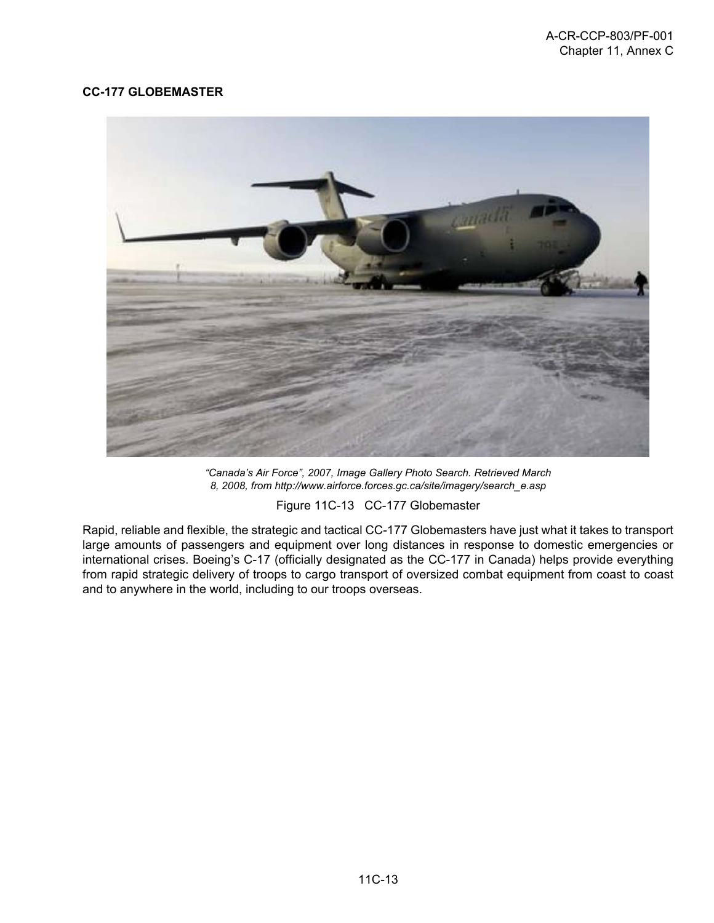# CC-177 GLOBEMASTER



"Canada's Air Force", 2007, Image Gallery Photo Search. Retrieved March 8, 2008, from http://www.airforce.forces.gc.ca/site/imagery/search\_e.asp

Figure 11C-13 CC-177 Globemaster

Rapid, reliable and flexible, the strategic and tactical CC-177 Globemasters have just what it takes to transport large amounts of passengers and equipment over long distances in response to domestic emergencies or international crises. Boeing's C-17 (officially designated as the CC-177 in Canada) helps provide everything from rapid strategic delivery of troops to cargo transport of oversized combat equipment from coast to coast and to anywhere in the world, including to our troops overseas.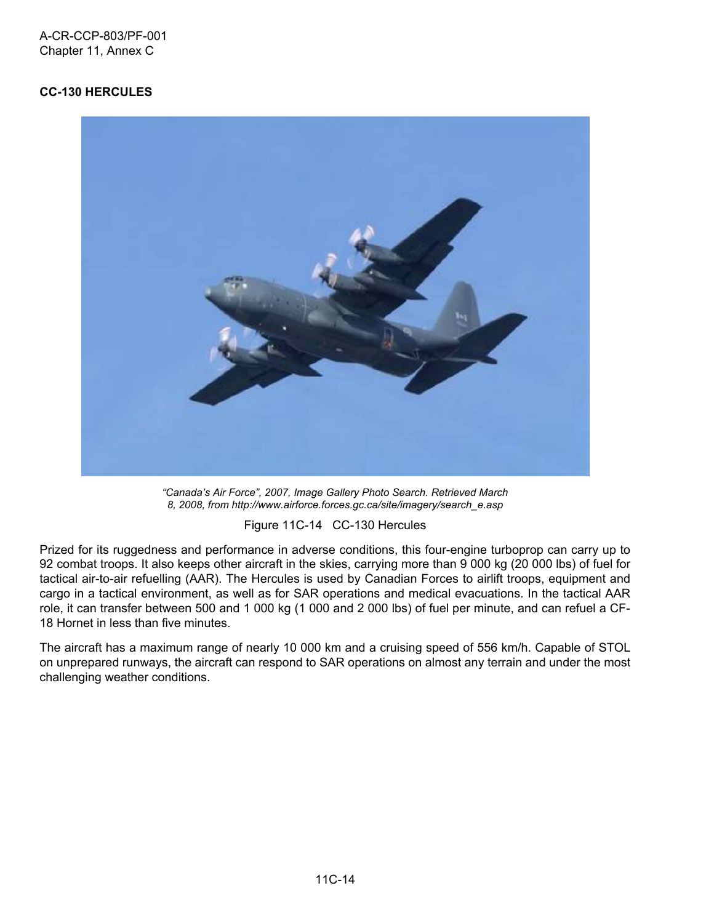# CC-130 HERCULES



"Canada's Air Force", 2007, Image Gallery Photo Search. Retrieved March 8, 2008, from http://www.airforce.forces.gc.ca/site/imagery/search\_e.asp

# Figure 11C-14 CC-130 Hercules

Prized for its ruggedness and performance in adverse conditions, this four-engine turboprop can carry up to 92 combat troops. It also keeps other aircraft in the skies, carrying more than 9 000 kg (20 000 lbs) of fuel for tactical air-to-air refuelling (AAR). The Hercules is used by Canadian Forces to airlift troops, equipment and cargo in a tactical environment, as well as for SAR operations and medical evacuations. In the tactical AAR role, it can transfer between 500 and 1 000 kg (1 000 and 2 000 lbs) of fuel per minute, and can refuel a CF-18 Hornet in less than five minutes.

The aircraft has a maximum range of nearly 10 000 km and a cruising speed of 556 km/h. Capable of STOL on unprepared runways, the aircraft can respond to SAR operations on almost any terrain and under the most challenging weather conditions.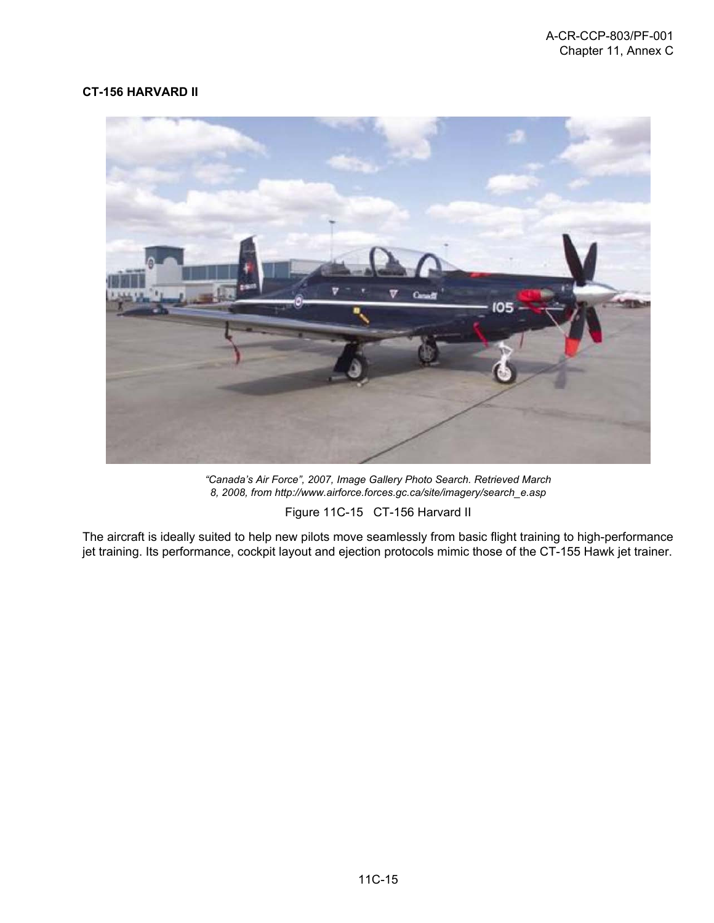# CT-156 HARVARD II



"Canada's Air Force", 2007, Image Gallery Photo Search. Retrieved March 8, 2008, from http://www.airforce.forces.gc.ca/site/imagery/search\_e.asp

Figure 11C-15 CT-156 Harvard II

The aircraft is ideally suited to help new pilots move seamlessly from basic flight training to high-performance jet training. Its performance, cockpit layout and ejection protocols mimic those of the CT-155 Hawk jet trainer.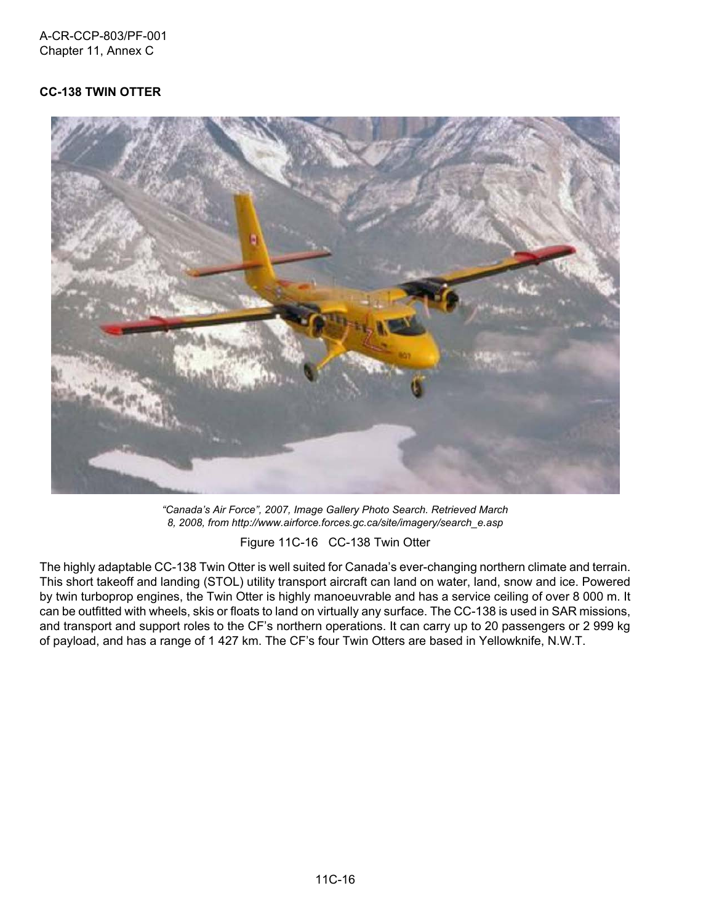# CC-138 TWIN OTTER



"Canada's Air Force", 2007, Image Gallery Photo Search. Retrieved March 8, 2008, from http://www.airforce.forces.gc.ca/site/imagery/search\_e.asp

Figure 11C-16 CC-138 Twin Otter

The highly adaptable CC-138 Twin Otter is well suited for Canada's ever-changing northern climate and terrain. This short takeoff and landing (STOL) utility transport aircraft can land on water, land, snow and ice. Powered by twin turboprop engines, the Twin Otter is highly manoeuvrable and has a service ceiling of over 8 000 m. It can be outfitted with wheels, skis or floats to land on virtually any surface. The CC-138 is used in SAR missions, and transport and support roles to the CF's northern operations. It can carry up to 20 passengers or 2 999 kg of payload, and has a range of 1 427 km. The CF's four Twin Otters are based in Yellowknife, N.W.T.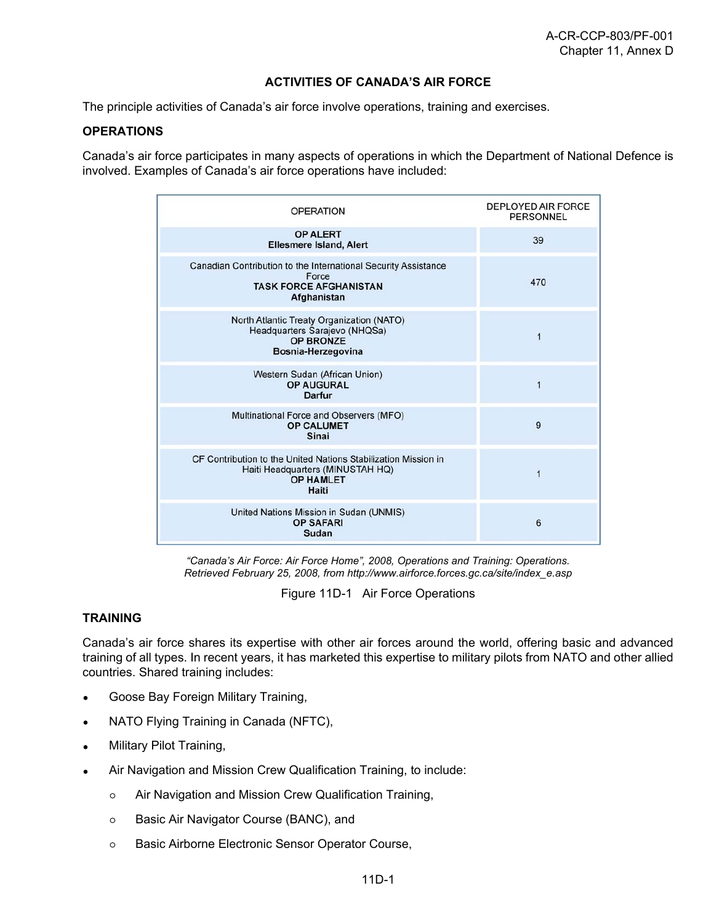# ACTIVITIES OF CANADA'S AIR FORCE

The principle activities of Canada's air force involve operations, training and exercises.

# **OPERATIONS**

Canada's air force participates in many aspects of operations in which the Department of National Defence is involved. Examples of Canada's air force operations have included:

| <b>OPERATION</b>                                                                                                                | DEPLOYED AIR FORCE<br><b>PERSONNEL</b> |
|---------------------------------------------------------------------------------------------------------------------------------|----------------------------------------|
| <b>OP ALERT</b><br><b>Ellesmere Island, Alert</b>                                                                               | 39                                     |
| Canadian Contribution to the International Security Assistance<br>Force<br><b>TASK FORCE AFGHANISTAN</b><br>Afghanistan         | 470                                    |
| North Atlantic Treaty Organization (NATO)<br>Headquarters Sarajevo (NHQSa)<br><b>OP BRONZE</b><br>Bosnia-Herzegovina            | $\mathbf{1}$                           |
| Western Sudan (African Union)<br><b>OP AUGURAL</b><br>Darfur                                                                    | 1                                      |
| Multinational Force and Observers (MFO)<br><b>OP CALUMET</b><br>Sinai                                                           | 9                                      |
| CF Contribution to the United Nations Stabilization Mission in<br>Haiti Headquarters (MINUSTAH HQ)<br><b>OP HAMLET</b><br>Haiti | 1                                      |
| United Nations Mission in Sudan (UNMIS)<br><b>OP SAFARI</b><br>Sudan                                                            | 6                                      |
|                                                                                                                                 |                                        |

"Canada's Air Force: Air Force Home", 2008, Operations and Training: Operations. Retrieved February 25, 2008, from http://www.airforce.forces.gc.ca/site/index\_e.asp

Figure 11D-1 Air Force Operations

# **TRAINING**

Canada's air force shares its expertise with other air forces around the world, offering basic and advanced training of all types. In recent years, it has marketed this expertise to military pilots from NATO and other allied countries. Shared training includes:

- Goose Bay Foreign Military Training,
- NATO Flying Training in Canada (NFTC),
- Military Pilot Training,
- Air Navigation and Mission Crew Qualification Training, to include:
	- Air Navigation and Mission Crew Qualification Training,  $\circ$
	- $\circ$ Basic Air Navigator Course (BANC), and
	- $\circ$ Basic Airborne Electronic Sensor Operator Course,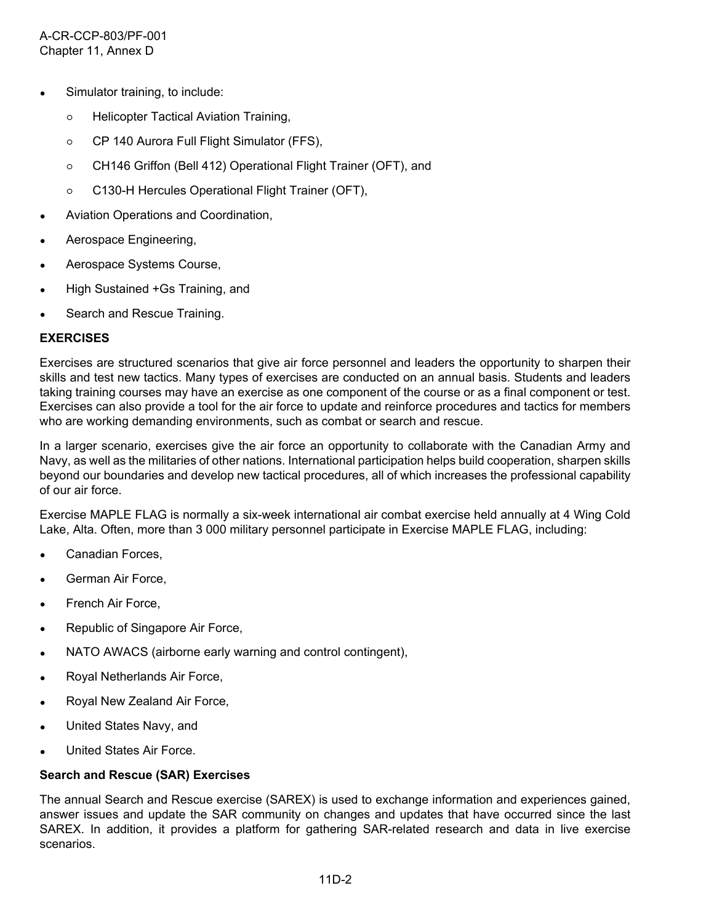- Simulator training, to include:
	- Helicopter Tactical Aviation Training,  $\circ$
	- CP 140 Aurora Full Flight Simulator (FFS),  $\circ$
	- $\circ$ CH146 Griffon (Bell 412) Operational Flight Trainer (OFT), and
	- $\circ$ C130-H Hercules Operational Flight Trainer (OFT),
- Aviation Operations and Coordination,  $\bullet$
- Aerospace Engineering,
- Aerospace Systems Course,
- High Sustained +Gs Training, and
- Search and Rescue Training.

# EXERCISES

Exercises are structured scenarios that give air force personnel and leaders the opportunity to sharpen their skills and test new tactics. Many types of exercises are conducted on an annual basis. Students and leaders taking training courses may have an exercise as one component of the course or as a final component or test. Exercises can also provide a tool for the air force to update and reinforce procedures and tactics for members who are working demanding environments, such as combat or search and rescue.

In a larger scenario, exercises give the air force an opportunity to collaborate with the Canadian Army and Navy, as well as the militaries of other nations. International participation helps build cooperation, sharpen skills beyond our boundaries and develop new tactical procedures, all of which increases the professional capability of our air force.

Exercise MAPLE FLAG is normally a six-week international air combat exercise held annually at 4 Wing Cold Lake, Alta. Often, more than 3 000 military personnel participate in Exercise MAPLE FLAG, including:

- Canadian Forces,
- German Air Force,
- French Air Force,
- Republic of Singapore Air Force,
- NATO AWACS (airborne early warning and control contingent),
- Royal Netherlands Air Force,
- Royal New Zealand Air Force,
- United States Navy, and
- United States Air Force.

# Search and Rescue (SAR) Exercises

The annual Search and Rescue exercise (SAREX) is used to exchange information and experiences gained, answer issues and update the SAR community on changes and updates that have occurred since the last SAREX. In addition, it provides a platform for gathering SAR-related research and data in live exercise scenarios.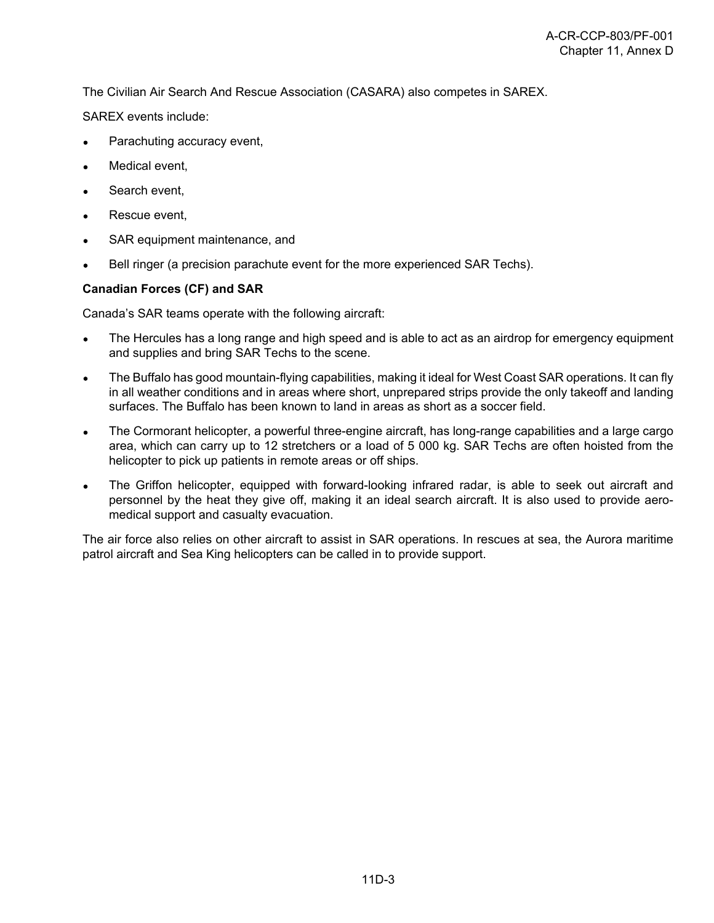The Civilian Air Search And Rescue Association (CASARA) also competes in SAREX.

SAREX events include:

- Parachuting accuracy event,
- Medical event,
- Search event,
- Rescue event,
- SAR equipment maintenance, and
- Bell ringer (a precision parachute event for the more experienced SAR Techs).

# Canadian Forces (CF) and SAR

Canada's SAR teams operate with the following aircraft:

- The Hercules has a long range and high speed and is able to act as an airdrop for emergency equipment and supplies and bring SAR Techs to the scene.
- The Buffalo has good mountain-flying capabilities, making it ideal for West Coast SAR operations. It can fly in all weather conditions and in areas where short, unprepared strips provide the only takeoff and landing surfaces. The Buffalo has been known to land in areas as short as a soccer field.
- The Cormorant helicopter, a powerful three-engine aircraft, has long-range capabilities and a large cargo area, which can carry up to 12 stretchers or a load of 5 000 kg. SAR Techs are often hoisted from the helicopter to pick up patients in remote areas or off ships.
- The Griffon helicopter, equipped with forward-looking infrared radar, is able to seek out aircraft and personnel by the heat they give off, making it an ideal search aircraft. It is also used to provide aeromedical support and casualty evacuation.

The air force also relies on other aircraft to assist in SAR operations. In rescues at sea, the Aurora maritime patrol aircraft and Sea King helicopters can be called in to provide support.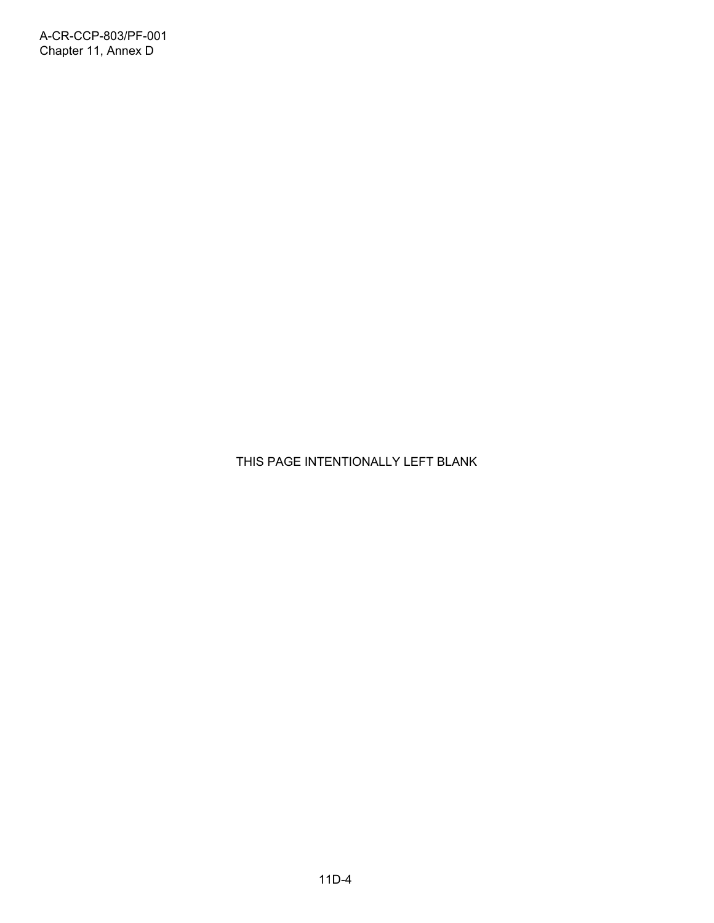THIS PAGE INTENTIONALLY LEFT BLANK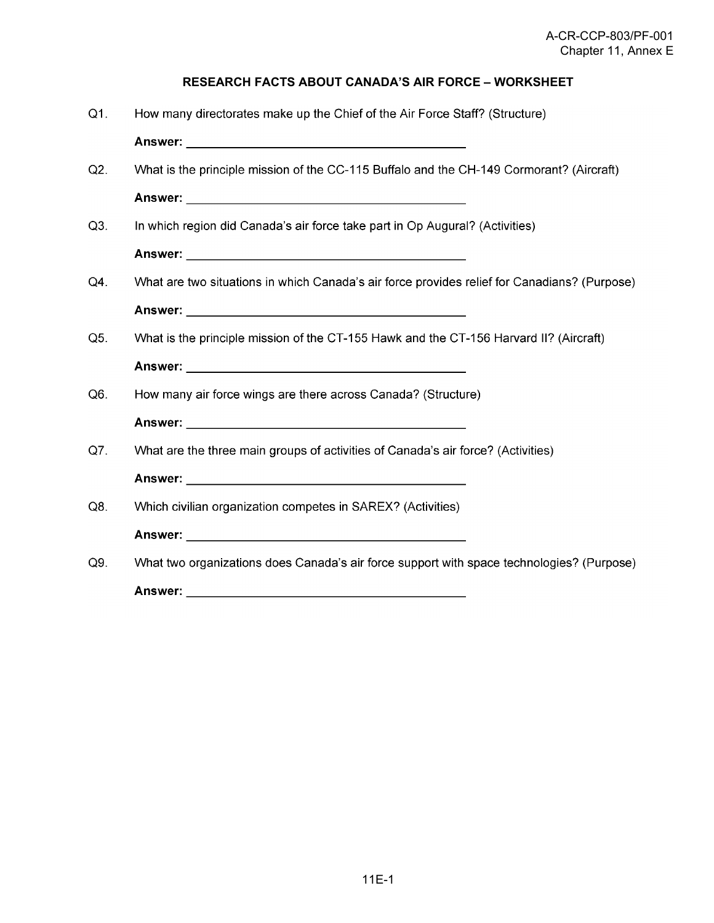| Q1.              | How many directorates make up the Chief of the Air Force Staff? (Structure)                  |  |  |  |
|------------------|----------------------------------------------------------------------------------------------|--|--|--|
|                  |                                                                                              |  |  |  |
| Q2.              | What is the principle mission of the CC-115 Buffalo and the CH-149 Cormorant? (Aircraft)     |  |  |  |
|                  |                                                                                              |  |  |  |
| Q3.              | In which region did Canada's air force take part in Op Augural? (Activities)                 |  |  |  |
|                  |                                                                                              |  |  |  |
| Q4.              | What are two situations in which Canada's air force provides relief for Canadians? (Purpose) |  |  |  |
|                  |                                                                                              |  |  |  |
| Q5.              | What is the principle mission of the CT-155 Hawk and the CT-156 Harvard II? (Aircraft)       |  |  |  |
|                  |                                                                                              |  |  |  |
| Q <sub>6</sub> . | How many air force wings are there across Canada? (Structure)                                |  |  |  |
|                  |                                                                                              |  |  |  |
| Q7.              | What are the three main groups of activities of Canada's air force? (Activities)             |  |  |  |
|                  |                                                                                              |  |  |  |
| Q8.              | Which civilian organization competes in SAREX? (Activities)                                  |  |  |  |
|                  |                                                                                              |  |  |  |
| Q9.              | What two organizations does Canada's air force support with space technologies? (Purpose)    |  |  |  |
|                  | Answer:                                                                                      |  |  |  |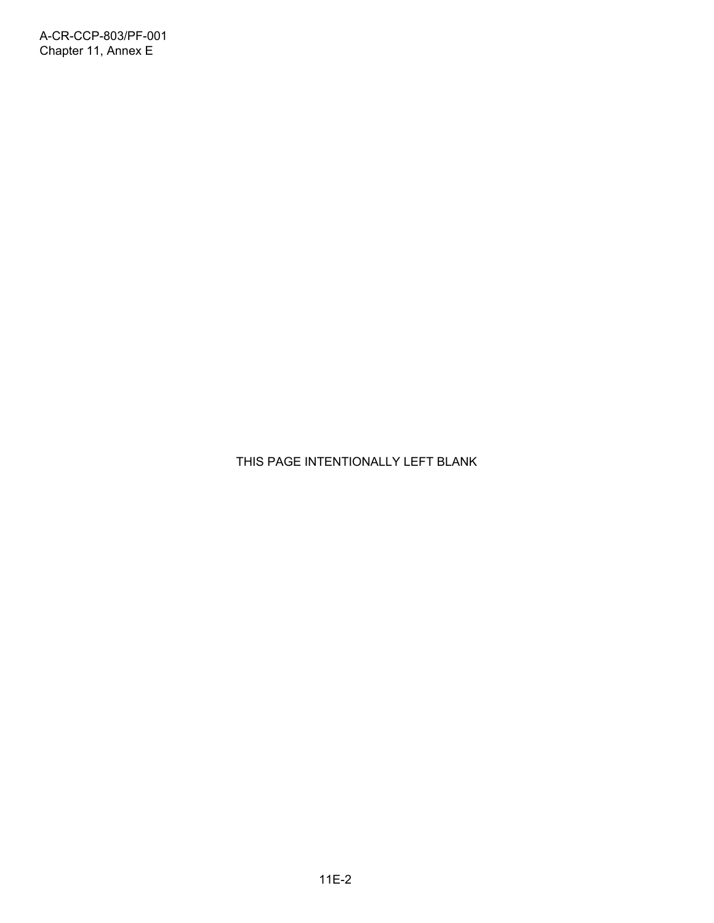THIS PAGE INTENTIONALLY LEFT BLANK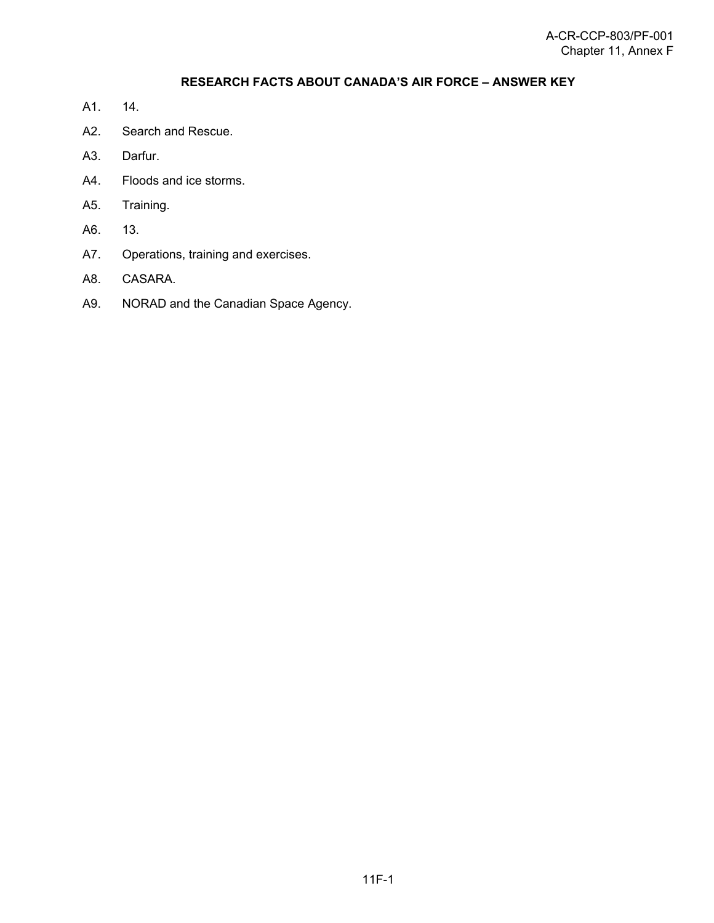# RESEARCH FACTS ABOUT CANADA'S AIR FORCE – ANSWER KEY

- A1. 14.
- A2. Search and Rescue.
- A3. Darfur.
- A4. Floods and ice storms.
- A5. Training.
- A6. 13.
- A7. Operations, training and exercises.
- A8. CASARA.
- A9. NORAD and the Canadian Space Agency.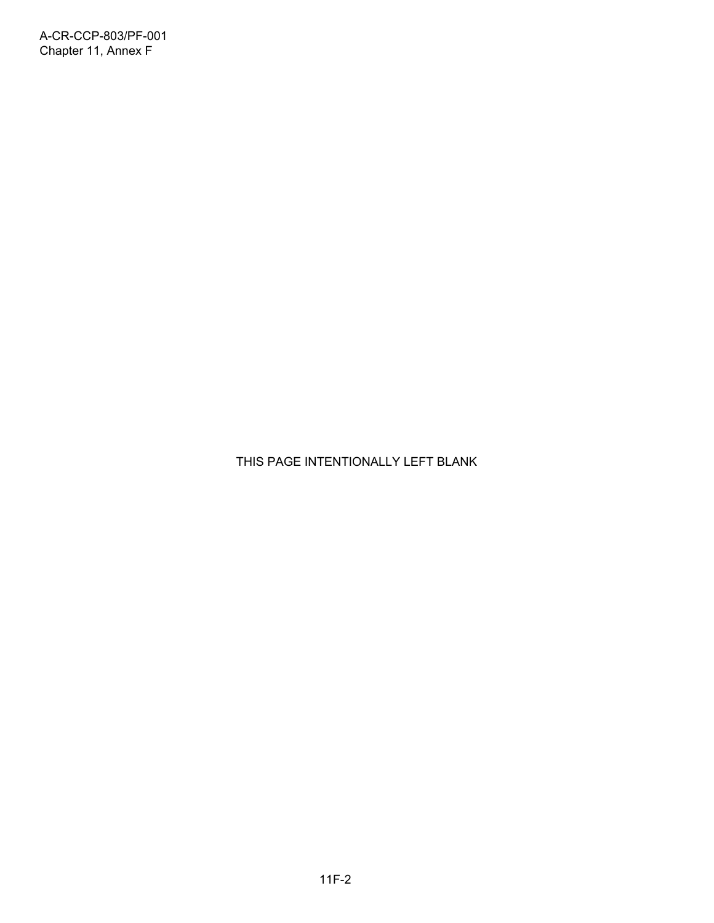THIS PAGE INTENTIONALLY LEFT BLANK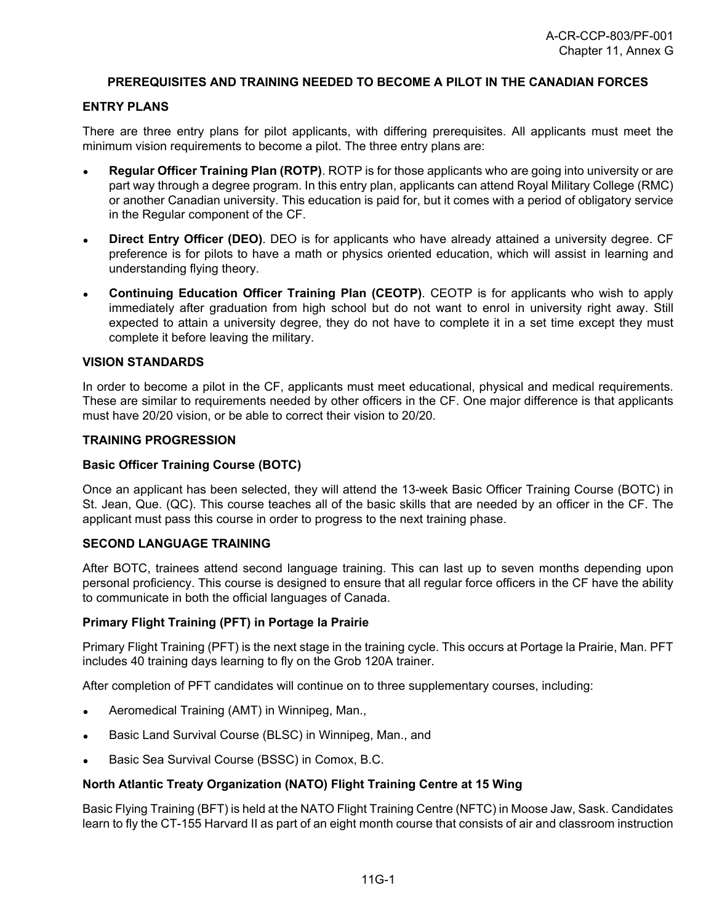#### PREREQUISITES AND TRAINING NEEDED TO BECOME A PILOT IN THE CANADIAN FORCES

#### ENTRY PLANS

There are three entry plans for pilot applicants, with differing prerequisites. All applicants must meet the minimum vision requirements to become a pilot. The three entry plans are:

- Regular Officer Training Plan (ROTP). ROTP is for those applicants who are going into university or are part way through a degree program. In this entry plan, applicants can attend Royal Military College (RMC) or another Canadian university. This education is paid for, but it comes with a period of obligatory service in the Regular component of the CF.
- Direct Entry Officer (DEO). DEO is for applicants who have already attained a university degree. CF  $\bullet$ preference is for pilots to have a math or physics oriented education, which will assist in learning and understanding flying theory.
- Continuing Education Officer Training Plan (CEOTP). CEOTP is for applicants who wish to apply immediately after graduation from high school but do not want to enrol in university right away. Still expected to attain a university degree, they do not have to complete it in a set time except they must complete it before leaving the military.

#### VISION STANDARDS

In order to become a pilot in the CF, applicants must meet educational, physical and medical requirements. These are similar to requirements needed by other officers in the CF. One major difference is that applicants must have 20/20 vision, or be able to correct their vision to 20/20.

#### TRAINING PROGRESSION

#### Basic Officer Training Course (BOTC)

Once an applicant has been selected, they will attend the 13-week Basic Officer Training Course (BOTC) in St. Jean, Que. (QC). This course teaches all of the basic skills that are needed by an officer in the CF. The applicant must pass this course in order to progress to the next training phase.

#### SECOND LANGUAGE TRAINING

After BOTC, trainees attend second language training. This can last up to seven months depending upon personal proficiency. This course is designed to ensure that all regular force officers in the CF have the ability to communicate in both the official languages of Canada.

#### Primary Flight Training (PFT) in Portage la Prairie

Primary Flight Training (PFT) is the next stage in the training cycle. This occurs at Portage la Prairie, Man. PFT includes 40 training days learning to fly on the Grob 120A trainer.

After completion of PFT candidates will continue on to three supplementary courses, including:

- Aeromedical Training (AMT) in Winnipeg, Man.,
- Basic Land Survival Course (BLSC) in Winnipeg, Man., and
- Basic Sea Survival Course (BSSC) in Comox, B.C.

#### North Atlantic Treaty Organization (NATO) Flight Training Centre at 15 Wing

Basic Flying Training (BFT) is held at the NATO Flight Training Centre (NFTC) in Moose Jaw, Sask. Candidates learn to fly the CT-155 Harvard II as part of an eight month course that consists of air and classroom instruction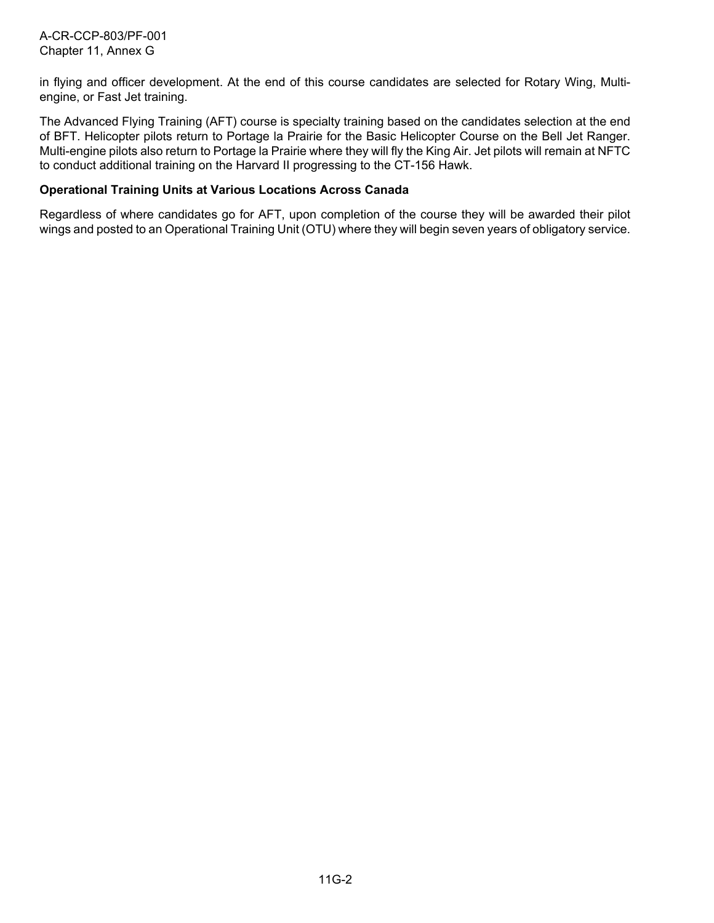in flying and officer development. At the end of this course candidates are selected for Rotary Wing, Multiengine, or Fast Jet training.

The Advanced Flying Training (AFT) course is specialty training based on the candidates selection at the end of BFT. Helicopter pilots return to Portage la Prairie for the Basic Helicopter Course on the Bell Jet Ranger. Multi-engine pilots also return to Portage la Prairie where they will fly the King Air. Jet pilots will remain at NFTC to conduct additional training on the Harvard II progressing to the CT-156 Hawk.

# Operational Training Units at Various Locations Across Canada

Regardless of where candidates go for AFT, upon completion of the course they will be awarded their pilot wings and posted to an Operational Training Unit (OTU) where they will begin seven years of obligatory service.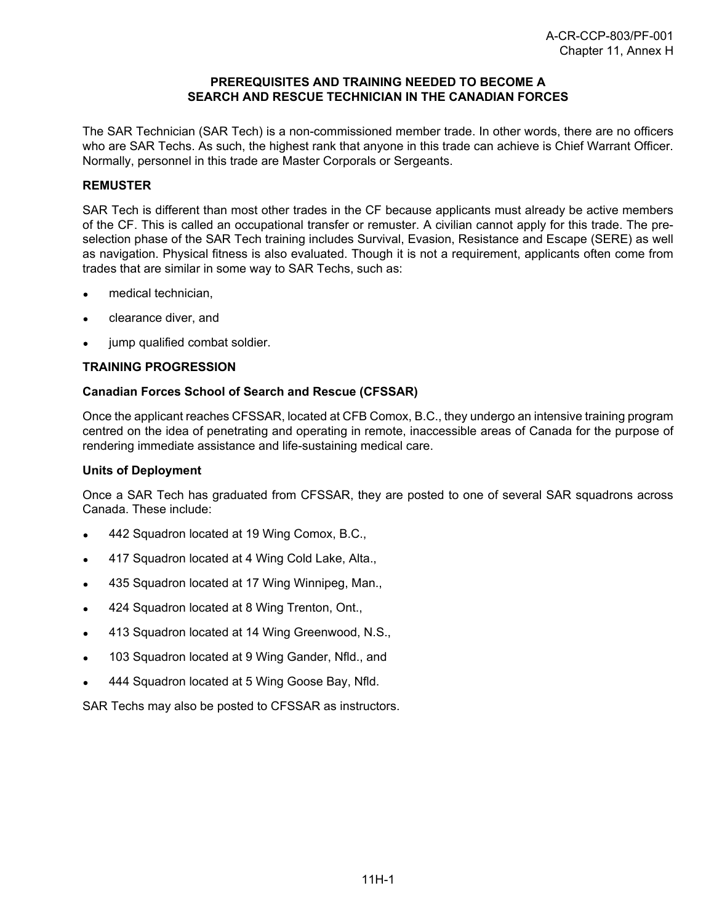# PREREQUISITES AND TRAINING NEEDED TO BECOME A SEARCH AND RESCUE TECHNICIAN IN THE CANADIAN FORCES

The SAR Technician (SAR Tech) is a non-commissioned member trade. In other words, there are no officers who are SAR Techs. As such, the highest rank that anyone in this trade can achieve is Chief Warrant Officer. Normally, personnel in this trade are Master Corporals or Sergeants.

# REMUSTER

SAR Tech is different than most other trades in the CF because applicants must already be active members of the CF. This is called an occupational transfer or remuster. A civilian cannot apply for this trade. The preselection phase of the SAR Tech training includes Survival, Evasion, Resistance and Escape (SERE) as well as navigation. Physical fitness is also evaluated. Though it is not a requirement, applicants often come from trades that are similar in some way to SAR Techs, such as:

- medical technician,
- clearance diver, and
- jump qualified combat soldier.

# TRAINING PROGRESSION

# Canadian Forces School of Search and Rescue (CFSSAR)

Once the applicant reaches CFSSAR, located at CFB Comox, B.C., they undergo an intensive training program centred on the idea of penetrating and operating in remote, inaccessible areas of Canada for the purpose of rendering immediate assistance and life-sustaining medical care.

# Units of Deployment

Once a SAR Tech has graduated from CFSSAR, they are posted to one of several SAR squadrons across Canada. These include:

- 442 Squadron located at 19 Wing Comox, B.C.,
- 417 Squadron located at 4 Wing Cold Lake, Alta.,
- 435 Squadron located at 17 Wing Winnipeg, Man.,
- 424 Squadron located at 8 Wing Trenton, Ont.,
- 413 Squadron located at 14 Wing Greenwood, N.S.,
- 103 Squadron located at 9 Wing Gander, Nfld., and
- 444 Squadron located at 5 Wing Goose Bay, Nfld.

SAR Techs may also be posted to CFSSAR as instructors.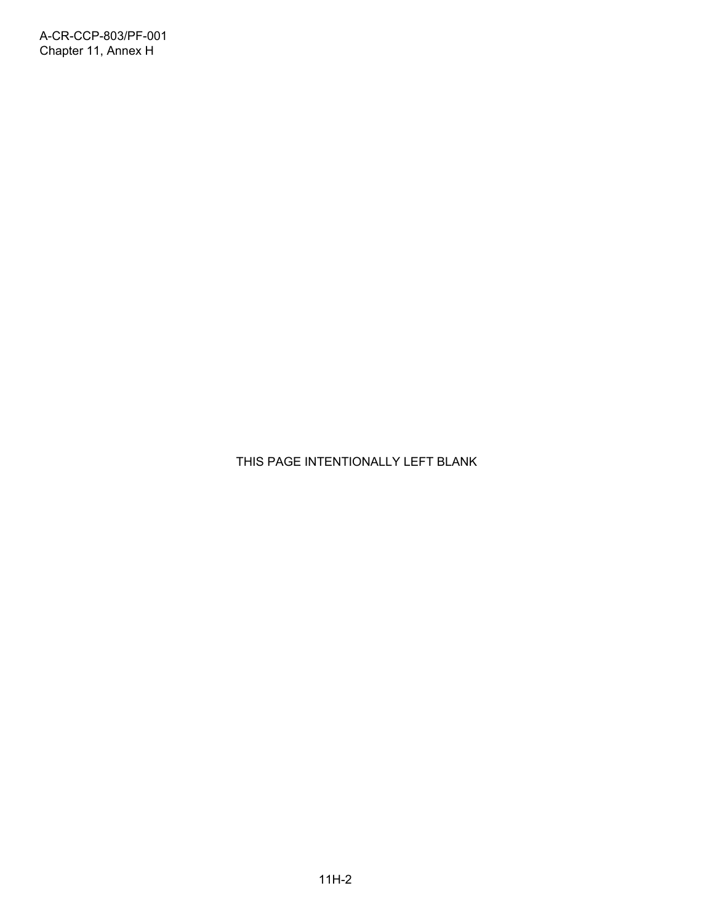THIS PAGE INTENTIONALLY LEFT BLANK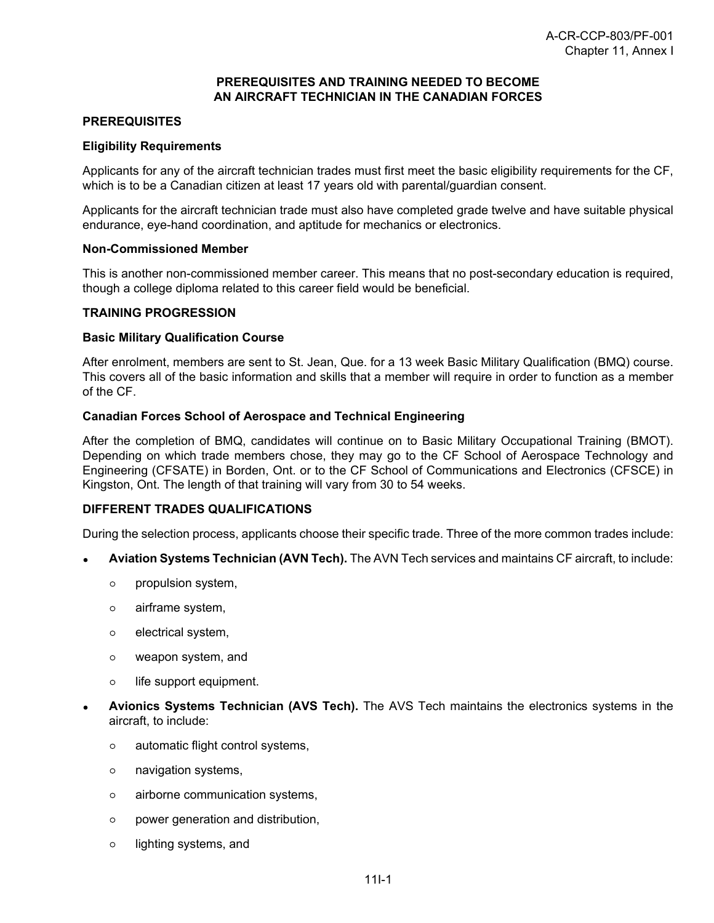#### PREREQUISITES AND TRAINING NEEDED TO BECOME AN AIRCRAFT TECHNICIAN IN THE CANADIAN FORCES

# **PREREQUISITES**

#### Eligibility Requirements

Applicants for any of the aircraft technician trades must first meet the basic eligibility requirements for the CF, which is to be a Canadian citizen at least 17 years old with parental/guardian consent.

Applicants for the aircraft technician trade must also have completed grade twelve and have suitable physical endurance, eye-hand coordination, and aptitude for mechanics or electronics.

#### Non-Commissioned Member

This is another non-commissioned member career. This means that no post-secondary education is required, though a college diploma related to this career field would be beneficial.

#### TRAINING PROGRESSION

#### Basic Military Qualification Course

After enrolment, members are sent to St. Jean, Que. for a 13 week Basic Military Qualification (BMQ) course. This covers all of the basic information and skills that a member will require in order to function as a member of the CF.

### Canadian Forces School of Aerospace and Technical Engineering

After the completion of BMQ, candidates will continue on to Basic Military Occupational Training (BMOT). Depending on which trade members chose, they may go to the CF School of Aerospace Technology and Engineering (CFSATE) in Borden, Ont. or to the CF School of Communications and Electronics (CFSCE) in Kingston, Ont. The length of that training will vary from 30 to 54 weeks.

# DIFFERENT TRADES QUALIFICATIONS

During the selection process, applicants choose their specific trade. Three of the more common trades include:

- Aviation Systems Technician (AVN Tech). The AVN Tech services and maintains CF aircraft, to include:
	- propulsion system,  $\circ$
	- $\circ$ airframe system,
	- $\circ$ electrical system,
	- $\circ$ weapon system, and
	- $\circ$ life support equipment.
- Avionics Systems Technician (AVS Tech). The AVS Tech maintains the electronics systems in the aircraft, to include:
	- $\circ$ automatic flight control systems,
	- navigation systems,  $\circ$
	- airborne communication systems,  $\circ$
	- power generation and distribution,  $\circ$
	- $\circ$ lighting systems, and